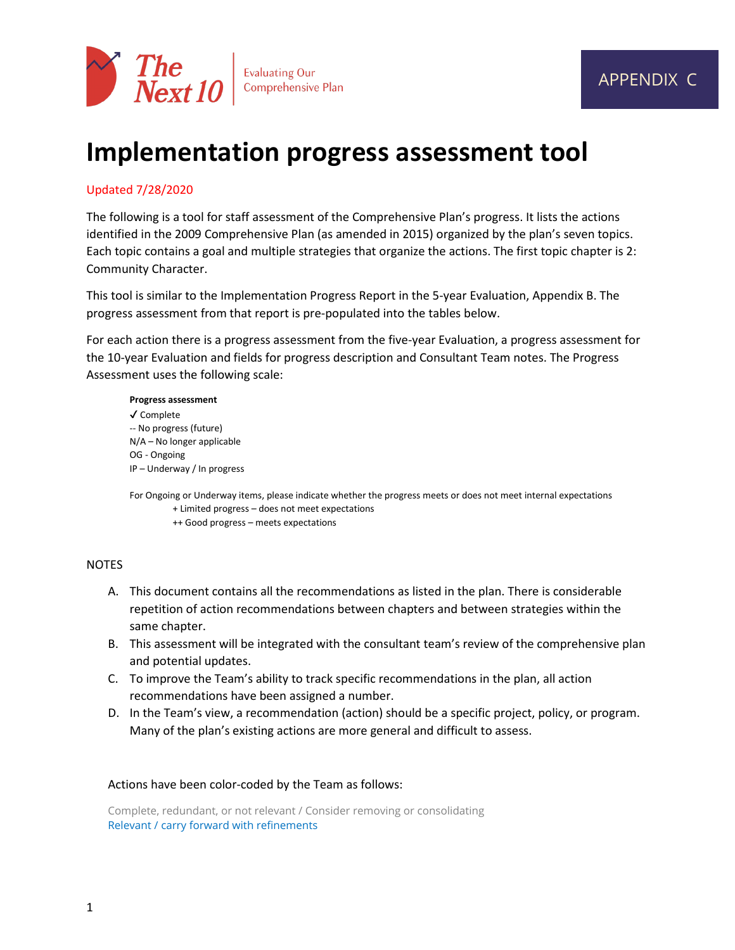

# **Implementation progress assessment tool**

### Updated 7/28/2020

The following is a tool for staff assessment of the Comprehensive Plan's progress. It lists the actions identified in the 2009 Comprehensive Plan (as amended in 2015) organized by the plan's seven topics. Each topic contains a goal and multiple strategies that organize the actions. The first topic chapter is 2: Community Character.

This tool is similar to the Implementation Progress Report in the 5-year Evaluation, Appendix B. The progress assessment from that report is pre-populated into the tables below.

For each action there is a progress assessment from the five-year Evaluation, a progress assessment for the 10-year Evaluation and fields for progress description and Consultant Team notes. The Progress Assessment uses the following scale:

#### **Progress assessment**

✔ Complete -- No progress (future) N/A – No longer applicable OG - Ongoing IP – Underway / In progress

For Ongoing or Underway items, please indicate whether the progress meets or does not meet internal expectations + Limited progress – does not meet expectations

++ Good progress – meets expectations

### **NOTES**

- A. This document contains all the recommendations as listed in the plan. There is considerable repetition of action recommendations between chapters and between strategies within the same chapter.
- B. This assessment will be integrated with the consultant team's review of the comprehensive plan and potential updates.
- C. To improve the Team's ability to track specific recommendations in the plan, all action recommendations have been assigned a number.
- D. In the Team's view, a recommendation (action) should be a specific project, policy, or program. Many of the plan's existing actions are more general and difficult to assess.

### Actions have been color-coded by the Team as follows:

Complete, redundant, or not relevant / Consider removing or consolidating Relevant / carry forward with refinements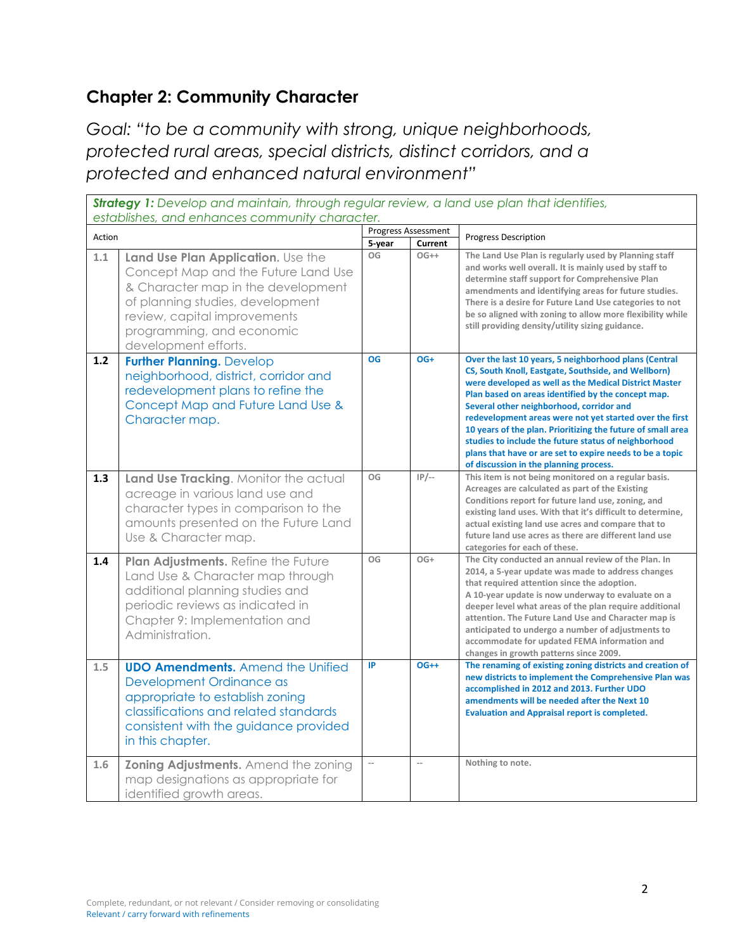# **Chapter 2: Community Character**

*Goal: "to be a community with strong, unique neighborhoods, protected rural areas, special districts, distinct corridors, and a protected and enhanced natural environment"*

|        | Strategy 1: Develop and maintain, through regular review, a land use plan that identifies,<br>establishes, and enhances community character.                                                                                             |           |                            |                                                                                                                                                                                                                                                                                                                                                                                                                                                                                                                                                                 |  |
|--------|------------------------------------------------------------------------------------------------------------------------------------------------------------------------------------------------------------------------------------------|-----------|----------------------------|-----------------------------------------------------------------------------------------------------------------------------------------------------------------------------------------------------------------------------------------------------------------------------------------------------------------------------------------------------------------------------------------------------------------------------------------------------------------------------------------------------------------------------------------------------------------|--|
| Action |                                                                                                                                                                                                                                          |           | <b>Progress Assessment</b> | <b>Progress Description</b>                                                                                                                                                                                                                                                                                                                                                                                                                                                                                                                                     |  |
|        |                                                                                                                                                                                                                                          | 5-year    | Current                    |                                                                                                                                                                                                                                                                                                                                                                                                                                                                                                                                                                 |  |
| 1.1    | Land Use Plan Application. Use the<br>Concept Map and the Future Land Use<br>& Character map in the development<br>of planning studies, development<br>review, capital improvements<br>programming, and economic<br>development efforts. | OG        | $OG++$                     | The Land Use Plan is regularly used by Planning staff<br>and works well overall. It is mainly used by staff to<br>determine staff support for Comprehensive Plan<br>amendments and identifying areas for future studies.<br>There is a desire for Future Land Use categories to not<br>be so aligned with zoning to allow more flexibility while<br>still providing density/utility sizing guidance.                                                                                                                                                            |  |
| 1.2    | <b>Further Planning. Develop</b><br>neighborhood, district, corridor and<br>redevelopment plans to refine the<br>Concept Map and Future Land Use &<br>Character map.                                                                     | <b>OG</b> | OG+                        | Over the last 10 years, 5 neighborhood plans (Central<br>CS, South Knoll, Eastgate, Southside, and Wellborn)<br>were developed as well as the Medical District Master<br>Plan based on areas identified by the concept map.<br>Several other neighborhood, corridor and<br>redevelopment areas were not yet started over the first<br>10 years of the plan. Prioritizing the future of small area<br>studies to include the future status of neighborhood<br>plans that have or are set to expire needs to be a topic<br>of discussion in the planning process. |  |
| 1.3    | Land Use Tracking. Monitor the actual<br>acreage in various land use and<br>character types in comparison to the<br>amounts presented on the Future Land<br>Use & Character map.                                                         | OG        | $IP/-$                     | This item is not being monitored on a regular basis.<br>Acreages are calculated as part of the Existing<br>Conditions report for future land use, zoning, and<br>existing land uses. With that it's difficult to determine,<br>actual existing land use acres and compare that to<br>future land use acres as there are different land use<br>categories for each of these.                                                                                                                                                                                     |  |
| 1.4    | Plan Adjustments. Refine the Future<br>Land Use & Character map through<br>additional planning studies and<br>periodic reviews as indicated in<br>Chapter 9: Implementation and<br>Administration.                                       | OG        | $OG+$                      | The City conducted an annual review of the Plan. In<br>2014, a 5-year update was made to address changes<br>that required attention since the adoption.<br>A 10-year update is now underway to evaluate on a<br>deeper level what areas of the plan require additional<br>attention. The Future Land Use and Character map is<br>anticipated to undergo a number of adjustments to<br>accommodate for updated FEMA information and<br>changes in growth patterns since 2009.                                                                                    |  |
| 1.5    | <b>UDO Amendments.</b> Amend the Unified<br>Development Ordinance as<br>appropriate to establish zoning<br>classifications and related standards<br>consistent with the guidance provided<br>in this chapter.                            | IP        | $OG++$                     | The renaming of existing zoning districts and creation of<br>new districts to implement the Comprehensive Plan was<br>accomplished in 2012 and 2013. Further UDO<br>amendments will be needed after the Next 10<br><b>Evaluation and Appraisal report is completed.</b>                                                                                                                                                                                                                                                                                         |  |
| 1.6    | Zoning Adjustments. Amend the zoning<br>map designations as appropriate for<br>identified growth areas.                                                                                                                                  |           | $\overline{a}$             | Nothing to note.                                                                                                                                                                                                                                                                                                                                                                                                                                                                                                                                                |  |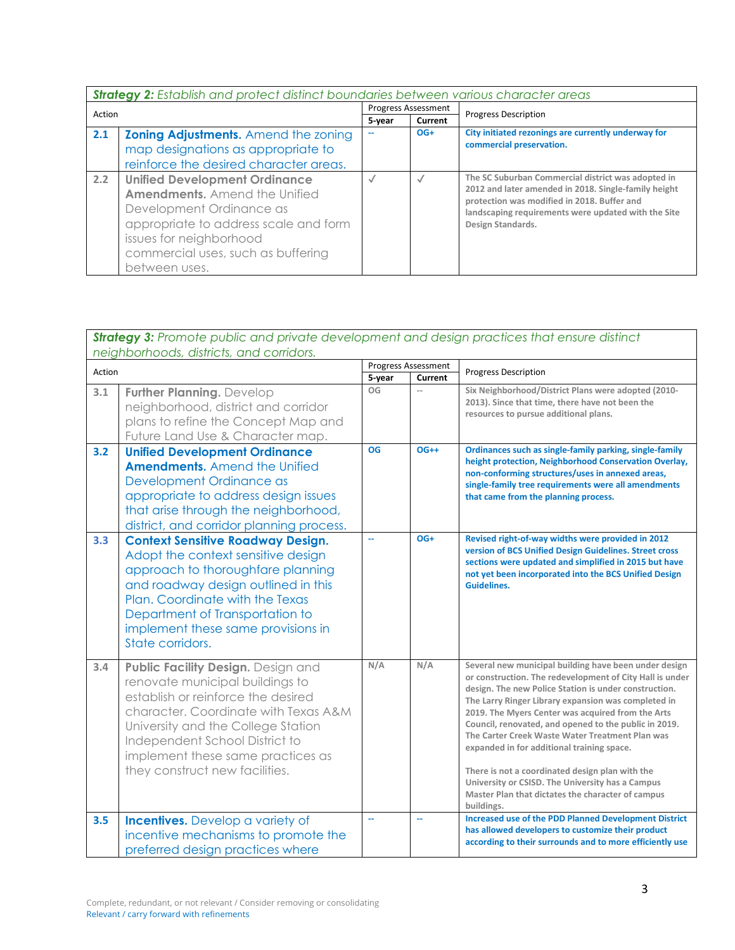|        | <b>Strategy 2:</b> Establish and protect distinct boundaries between various character areas                                                                                                                                        |                            |                |                                                                                                                                                                                                                                       |
|--------|-------------------------------------------------------------------------------------------------------------------------------------------------------------------------------------------------------------------------------------|----------------------------|----------------|---------------------------------------------------------------------------------------------------------------------------------------------------------------------------------------------------------------------------------------|
| Action |                                                                                                                                                                                                                                     | <b>Progress Assessment</b> |                | <b>Progress Description</b>                                                                                                                                                                                                           |
|        |                                                                                                                                                                                                                                     | 5-year                     | <b>Current</b> |                                                                                                                                                                                                                                       |
| 2.1    | <b>Zoning Adjustments.</b> Amend the zoning                                                                                                                                                                                         |                            | $OG+$          | City initiated rezonings are currently underway for                                                                                                                                                                                   |
|        | map designations as appropriate to                                                                                                                                                                                                  |                            |                | commercial preservation.                                                                                                                                                                                                              |
|        | reinforce the desired character areas.                                                                                                                                                                                              |                            |                |                                                                                                                                                                                                                                       |
| 2.2    | <b>Unified Development Ordinance</b><br><b>Amendments.</b> Amend the Unified<br>Development Ordinance as<br>appropriate to address scale and form<br>issues for neighborhood<br>commercial uses, such as buffering<br>between uses. | $\sqrt{}$                  | $\sqrt{2}$     | The SC Suburban Commercial district was adopted in<br>2012 and later amended in 2018. Single-family height<br>protection was modified in 2018. Buffer and<br>landscaping requirements were updated with the Site<br>Design Standards. |

### *Strategy 3: Promote public and private development and design practices that ensure distinct neighborhoods, districts, and corridors.*

| Action |                                                                                                                                                                                                                                                                                                    | Progress Assessment |         | <b>Progress Description</b>                                                                                                                                                                                                                                                                                                                                                                                                                                                                                                                                                                                                |
|--------|----------------------------------------------------------------------------------------------------------------------------------------------------------------------------------------------------------------------------------------------------------------------------------------------------|---------------------|---------|----------------------------------------------------------------------------------------------------------------------------------------------------------------------------------------------------------------------------------------------------------------------------------------------------------------------------------------------------------------------------------------------------------------------------------------------------------------------------------------------------------------------------------------------------------------------------------------------------------------------------|
|        |                                                                                                                                                                                                                                                                                                    | 5-year              | Current |                                                                                                                                                                                                                                                                                                                                                                                                                                                                                                                                                                                                                            |
| 3.1    | <b>Further Planning. Develop</b><br>neighborhood, district and corridor<br>plans to refine the Concept Map and<br>Future Land Use & Character map.                                                                                                                                                 | OG                  | $\sim$  | Six Neighborhood/District Plans were adopted (2010-<br>2013). Since that time, there have not been the<br>resources to pursue additional plans.                                                                                                                                                                                                                                                                                                                                                                                                                                                                            |
| 3.2    | <b>Unified Development Ordinance</b><br><b>Amendments.</b> Amend the Unified<br>Development Ordinance as<br>appropriate to address design issues<br>that arise through the neighborhood,<br>district, and corridor planning process.                                                               | <b>OG</b>           | $OG++$  | Ordinances such as single-family parking, single-family<br>height protection, Neighborhood Conservation Overlay,<br>non-conforming structures/uses in annexed areas,<br>single-family tree requirements were all amendments<br>that came from the planning process.                                                                                                                                                                                                                                                                                                                                                        |
| 3.3    | <b>Context Sensitive Roadway Design.</b><br>Adopt the context sensitive design<br>approach to thoroughfare planning<br>and roadway design outlined in this<br>Plan. Coordinate with the Texas<br>Department of Transportation to<br>implement these same provisions in<br>State corridors.         |                     | $OG+$   | Revised right-of-way widths were provided in 2012<br>version of BCS Unified Design Guidelines. Street cross<br>sections were updated and simplified in 2015 but have<br>not yet been incorporated into the BCS Unified Design<br><b>Guidelines.</b>                                                                                                                                                                                                                                                                                                                                                                        |
| 3.4    | Public Facility Design. Design and<br>renovate municipal buildings to<br>establish or reinforce the desired<br>character. Coordinate with Texas A&M<br>University and the College Station<br>Independent School District to<br>implement these same practices as<br>they construct new facilities. | N/A                 | N/A     | Several new municipal building have been under design<br>or construction. The redevelopment of City Hall is under<br>design. The new Police Station is under construction.<br>The Larry Ringer Library expansion was completed in<br>2019. The Myers Center was acquired from the Arts<br>Council, renovated, and opened to the public in 2019.<br>The Carter Creek Waste Water Treatment Plan was<br>expanded in for additional training space.<br>There is not a coordinated design plan with the<br>University or CSISD. The University has a Campus<br>Master Plan that dictates the character of campus<br>buildings. |
| 3.5    | <b>Incentives.</b> Develop a variety of<br>incentive mechanisms to promote the<br>preferred design practices where                                                                                                                                                                                 | u.                  | $\sim$  | <b>Increased use of the PDD Planned Development District</b><br>has allowed developers to customize their product<br>according to their surrounds and to more efficiently use                                                                                                                                                                                                                                                                                                                                                                                                                                              |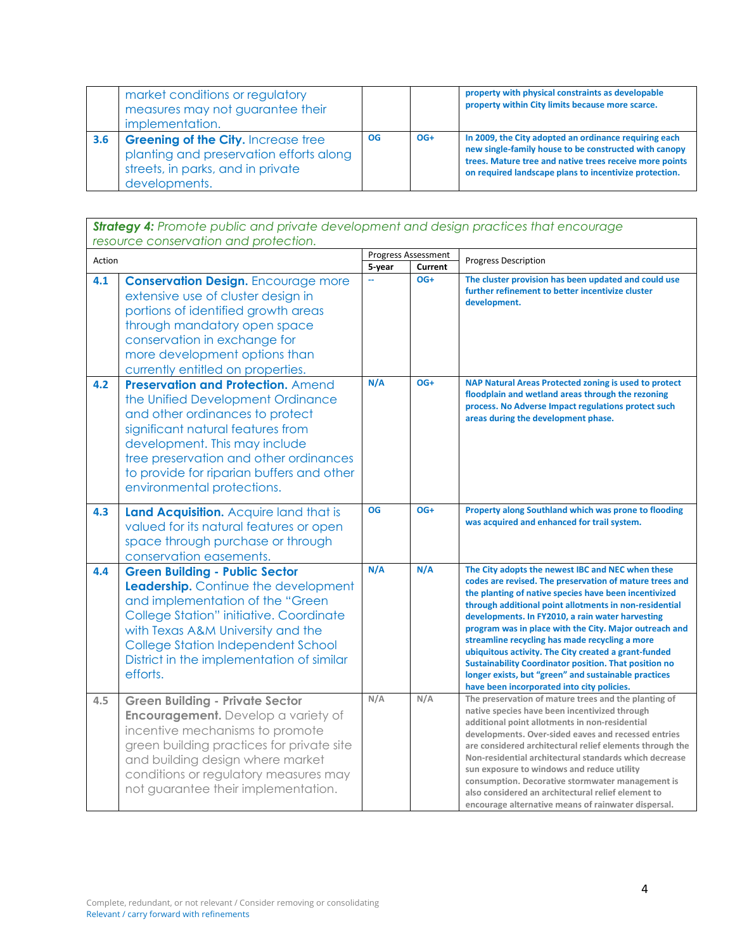|     | market conditions or regulatory<br>measures may not guarantee their<br>implementation.                                                      |           |       | property with physical constraints as developable<br>property within City limits because more scarce.                                                                                                                               |
|-----|---------------------------------------------------------------------------------------------------------------------------------------------|-----------|-------|-------------------------------------------------------------------------------------------------------------------------------------------------------------------------------------------------------------------------------------|
| 3.6 | <b>Greening of the City. Increase tree</b><br>planting and preservation efforts along<br>streets, in parks, and in private<br>developments. | <b>OG</b> | $OG+$ | In 2009, the City adopted an ordinance requiring each<br>new single-family house to be constructed with canopy<br>trees. Mature tree and native trees receive more points<br>on required landscape plans to incentivize protection. |

*Strategy 4: Promote public and private development and design practices that encourage resource conservation and protection.* Action Progress Assessment<br>
For the Progress Assessment<br>
For the Progress Assessment<br>
Progress Assessment<br>
Progress Assessment<br>
Progress Assessment **Progress Description 4.1 Conservation Design.** Encourage more extensive use of cluster design in portions of identified growth areas through mandatory open space conservation in exchange for more development options than currently entitled on properties. **-- OG+ The cluster provision has been updated and could use further refinement to better incentivize cluster development. 4.2 Preservation and Protection.** Amend the Unified Development Ordinance and other ordinances to protect significant natural features from development. This may include tree preservation and other ordinances to provide for riparian buffers and other environmental protections. **N/A OG+ NAP Natural Areas Protected zoning is used to protect floodplain and wetland areas through the rezoning process. No Adverse Impact regulations protect such areas during the development phase. 4.3** | Land Acquisition. Acquire land that is valued for its natural features or open space through purchase or through conservation easements. **OG OG+ Property along Southland which was prone to flooding was acquired and enhanced for trail system. 4.4 Green Building - Public Sector Leadership.** Continue the development and implementation of the "Green College Station" initiative. Coordinate with Texas A&M University and the College Station Independent School District in the implementation of similar efforts. **N/A N/A The City adopts the newest IBC and NEC when these codes are revised. The preservation of mature trees and the planting of native species have been incentivized through additional point allotments in non-residential developments. In FY2010, a rain water harvesting program was in place with the City. Major outreach and streamline recycling has made recycling a more ubiquitous activity. The City created a grant-funded Sustainability Coordinator position. That position no longer exists, but "green" and sustainable practices have been incorporated into city policies. 4.5 Green Building - Private Sector Encouragement.** Develop a variety of incentive mechanisms to promote green building practices for private site and building design where market conditions or regulatory measures may not guarantee their implementation. **N/A N/A The preservation of mature trees and the planting of native species have been incentivized through additional point allotments in non-residential developments. Over-sided eaves and recessed entries are considered architectural relief elements through the Non-residential architectural standards which decrease sun exposure to windows and reduce utility consumption. Decorative stormwater management is also considered an architectural relief element to encourage alternative means of rainwater dispersal.**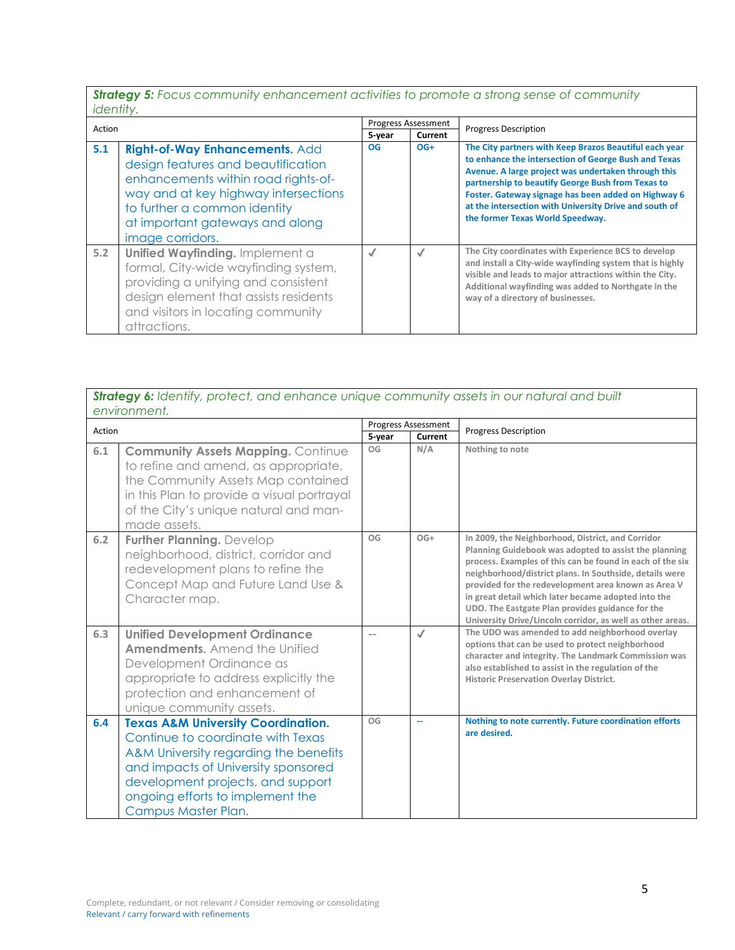*Strategy 5: Focus community enhancement activities to promote a strong sense of community identity.*

| Action |                                                                                                                                                                                                                                            | <b>Progress Assessment</b> |         | <b>Progress Description</b>                                                                                                                                                                                                                                                                                                                                                     |
|--------|--------------------------------------------------------------------------------------------------------------------------------------------------------------------------------------------------------------------------------------------|----------------------------|---------|---------------------------------------------------------------------------------------------------------------------------------------------------------------------------------------------------------------------------------------------------------------------------------------------------------------------------------------------------------------------------------|
|        |                                                                                                                                                                                                                                            | 5-year                     | Current |                                                                                                                                                                                                                                                                                                                                                                                 |
| 5.1    | Right-of-Way Enhancements. Add<br>design features and beautification<br>enhancements within road rights-of-<br>way and at key highway intersections<br>to further a common identity<br>at important gateways and along<br>image corridors. | <b>OG</b>                  | $OG+$   | The City partners with Keep Brazos Beautiful each year<br>to enhance the intersection of George Bush and Texas<br>Avenue. A large project was undertaken through this<br>partnership to beautify George Bush from Texas to<br>Foster. Gateway signage has been added on Highway 6<br>at the intersection with University Drive and south of<br>the former Texas World Speedway. |
| 5.2    | Unified Wayfinding. Implement a<br>formal, City-wide wayfinding system,<br>providing a unifying and consistent<br>design element that assists residents<br>and visitors in locating community<br>attractions.                              | √                          | √       | The City coordinates with Experience BCS to develop<br>and install a City-wide wayfinding system that is highly<br>visible and leads to major attractions within the City.<br>Additional wayfinding was added to Northgate in the<br>way of a directory of businesses.                                                                                                          |

|        | Strategy 6: Identify, protect, and enhance unique community assets in our natural and built<br>environment.                                                                                                                                                        |              |                            |                                                                                                                                                                                                                                                                                                                                                                                                                                                                    |  |
|--------|--------------------------------------------------------------------------------------------------------------------------------------------------------------------------------------------------------------------------------------------------------------------|--------------|----------------------------|--------------------------------------------------------------------------------------------------------------------------------------------------------------------------------------------------------------------------------------------------------------------------------------------------------------------------------------------------------------------------------------------------------------------------------------------------------------------|--|
| Action |                                                                                                                                                                                                                                                                    |              | <b>Progress Assessment</b> | <b>Progress Description</b>                                                                                                                                                                                                                                                                                                                                                                                                                                        |  |
| 6.1    | <b>Community Assets Mapping. Continue</b><br>to refine and amend, as appropriate,<br>the Community Assets Map contained<br>in this Plan to provide a visual portrayal<br>of the City's unique natural and man-<br>made assets.                                     | 5-year<br>OG | Current<br>N/A             | Nothing to note                                                                                                                                                                                                                                                                                                                                                                                                                                                    |  |
| 6.2    | <b>Further Planning. Develop</b><br>neighborhood, district, corridor and<br>redevelopment plans to refine the<br>Concept Map and Future Land Use &<br>Character map.                                                                                               | OG           | $OG+$                      | In 2009, the Neighborhood, District, and Corridor<br>Planning Guidebook was adopted to assist the planning<br>process. Examples of this can be found in each of the six<br>neighborhood/district plans. In Southside, details were<br>provided for the redevelopment area known as Area V<br>in great detail which later became adopted into the<br>UDO. The Eastgate Plan provides guidance for the<br>University Drive/Lincoln corridor, as well as other areas. |  |
| 6.3    | <b>Unified Development Ordinance</b><br><b>Amendments.</b> Amend the Unified<br>Development Ordinance as<br>appropriate to address explicitly the<br>protection and enhancement of<br>unique community assets.                                                     |              | $\checkmark$               | The UDO was amended to add neighborhood overlay<br>options that can be used to protect neighborhood<br>character and integrity. The Landmark Commission was<br>also established to assist in the regulation of the<br><b>Historic Preservation Overlay District.</b>                                                                                                                                                                                               |  |
| 6.4    | <b>Texas A&amp;M University Coordination.</b><br>Continue to coordinate with Texas<br>A&M University regarding the benefits<br>and impacts of University sponsored<br>development projects, and support<br>ongoing efforts to implement the<br>Campus Master Plan. | OG           | $\overline{a}$             | Nothing to note currently. Future coordination efforts<br>are desired.                                                                                                                                                                                                                                                                                                                                                                                             |  |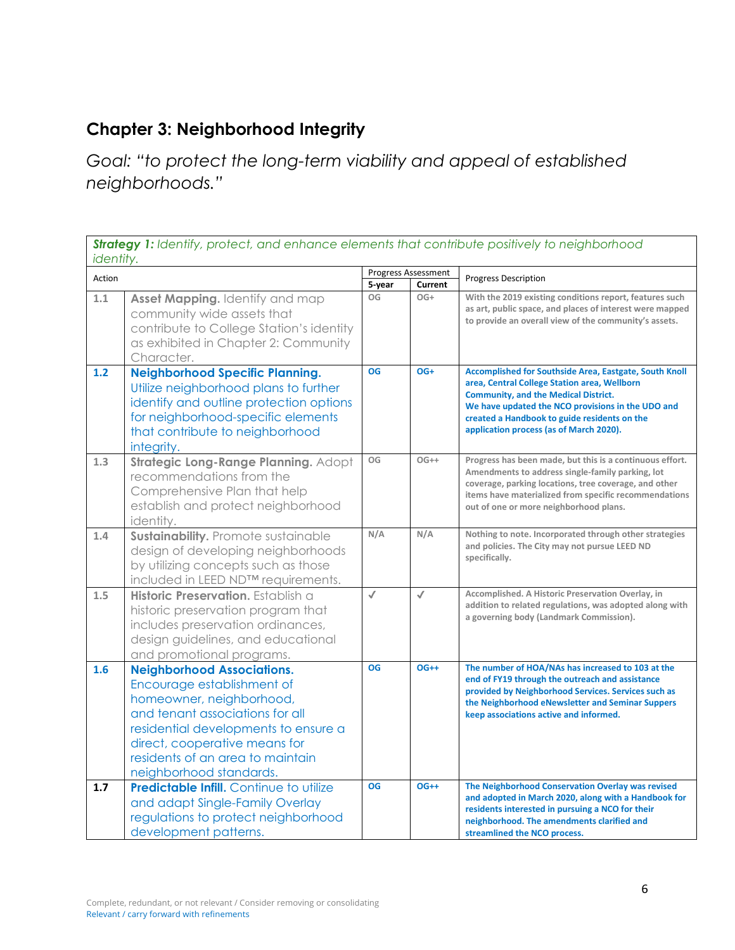# **Chapter 3: Neighborhood Integrity**

*Goal: "to protect the long-term viability and appeal of established neighborhoods."* 

|        | <b>Strategy 1:</b> Identify, protect, and enhance elements that contribute positively to neighborhood<br>identity.                                                                                                                                                     |              |                     |                                                                                                                                                                                                                                                                                                       |  |
|--------|------------------------------------------------------------------------------------------------------------------------------------------------------------------------------------------------------------------------------------------------------------------------|--------------|---------------------|-------------------------------------------------------------------------------------------------------------------------------------------------------------------------------------------------------------------------------------------------------------------------------------------------------|--|
| Action |                                                                                                                                                                                                                                                                        |              | Progress Assessment | <b>Progress Description</b>                                                                                                                                                                                                                                                                           |  |
| 1.1    | Asset Mapping. Identify and map<br>community wide assets that<br>contribute to College Station's identity<br>as exhibited in Chapter 2: Community<br>Character.                                                                                                        | 5-year<br>OG | Current<br>OG+      | With the 2019 existing conditions report, features such<br>as art, public space, and places of interest were mapped<br>to provide an overall view of the community's assets.                                                                                                                          |  |
| 1.2    | <b>Neighborhood Specific Planning.</b><br>Utilize neighborhood plans to further<br>identify and outline protection options<br>for neighborhood-specific elements<br>that contribute to neighborhood<br>integrity.                                                      | <b>OG</b>    | OG+                 | Accomplished for Southside Area, Eastgate, South Knoll<br>area, Central College Station area, Wellborn<br><b>Community, and the Medical District.</b><br>We have updated the NCO provisions in the UDO and<br>created a Handbook to guide residents on the<br>application process (as of March 2020). |  |
| 1.3    | Strategic Long-Range Planning. Adopt<br>recommendations from the<br>Comprehensive Plan that help<br>establish and protect neighborhood<br>identity.                                                                                                                    | OG           | $OG++$              | Progress has been made, but this is a continuous effort.<br>Amendments to address single-family parking, lot<br>coverage, parking locations, tree coverage, and other<br>items have materialized from specific recommendations<br>out of one or more neighborhood plans.                              |  |
| 1.4    | Sustainability. Promote sustainable<br>design of developing neighborhoods<br>by utilizing concepts such as those<br>included in LEED ND™ requirements.                                                                                                                 | N/A          | N/A                 | Nothing to note. Incorporated through other strategies<br>and policies. The City may not pursue LEED ND<br>specifically.                                                                                                                                                                              |  |
| 1.5    | Historic Preservation. Establish a<br>historic preservation program that<br>includes preservation ordinances,<br>design guidelines, and educational<br>and promotional programs.                                                                                       | $\checkmark$ | $\checkmark$        | Accomplished. A Historic Preservation Overlay, in<br>addition to related regulations, was adopted along with<br>a governing body (Landmark Commission).                                                                                                                                               |  |
| 1.6    | <b>Neighborhood Associations.</b><br>Encourage establishment of<br>homeowner, neighborhood,<br>and tenant associations for all<br>residential developments to ensure a<br>direct, cooperative means for<br>residents of an area to maintain<br>neighborhood standards. | <b>OG</b>    | $OG++$              | The number of HOA/NAs has increased to 103 at the<br>end of FY19 through the outreach and assistance<br>provided by Neighborhood Services. Services such as<br>the Neighborhood eNewsletter and Seminar Suppers<br>keep associations active and informed.                                             |  |
| 1.7    | <b>Predictable Infill.</b> Continue to utilize<br>and adapt Single-Family Overlay<br>regulations to protect neighborhood<br>development patterns.                                                                                                                      | OG           | $OG++$              | The Neighborhood Conservation Overlay was revised<br>and adopted in March 2020, along with a Handbook for<br>residents interested in pursuing a NCO for their<br>neighborhood. The amendments clarified and<br>streamlined the NCO process.                                                           |  |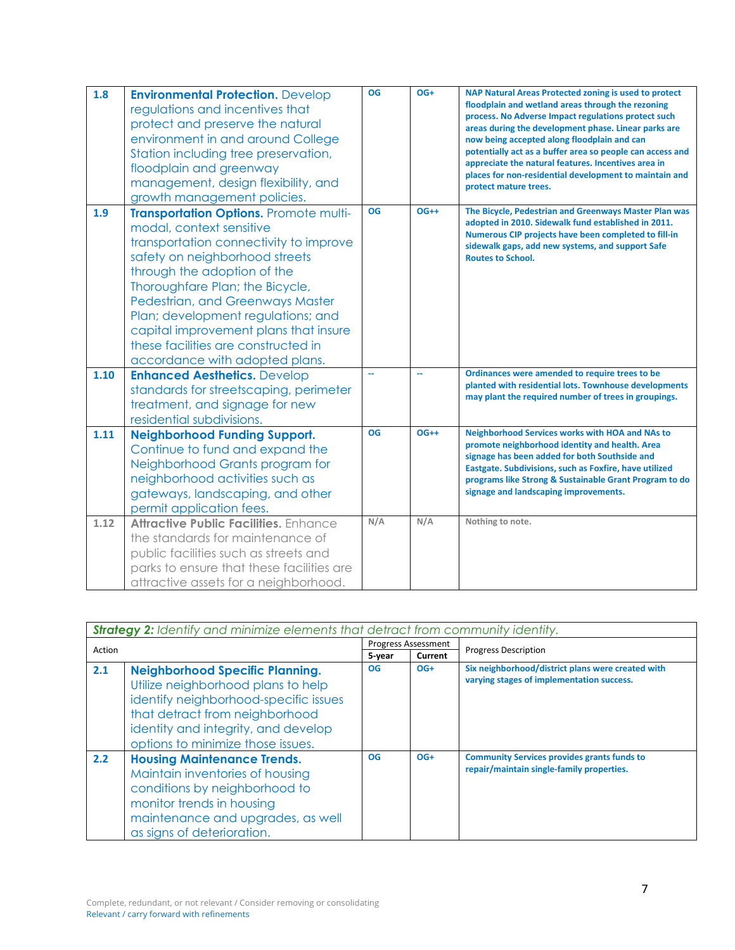| 1.8  | <b>Environmental Protection. Develop</b><br>regulations and incentives that<br>protect and preserve the natural<br>environment in and around College<br>Station including tree preservation,<br>floodplain and greenway<br>management, design flexibility, and<br>growth management policies.                                                                                                                | <b>OG</b> | OG+                     | NAP Natural Areas Protected zoning is used to protect<br>floodplain and wetland areas through the rezoning<br>process. No Adverse Impact regulations protect such<br>areas during the development phase. Linear parks are<br>now being accepted along floodplain and can<br>potentially act as a buffer area so people can access and<br>appreciate the natural features. Incentives area in<br>places for non-residential development to maintain and<br>protect mature trees. |
|------|--------------------------------------------------------------------------------------------------------------------------------------------------------------------------------------------------------------------------------------------------------------------------------------------------------------------------------------------------------------------------------------------------------------|-----------|-------------------------|---------------------------------------------------------------------------------------------------------------------------------------------------------------------------------------------------------------------------------------------------------------------------------------------------------------------------------------------------------------------------------------------------------------------------------------------------------------------------------|
| 1.9  | Transportation Options. Promote multi-<br>modal, context sensitive<br>transportation connectivity to improve<br>safety on neighborhood streets<br>through the adoption of the<br>Thoroughfare Plan; the Bicycle,<br>Pedestrian, and Greenways Master<br>Plan; development regulations; and<br>capital improvement plans that insure<br>these facilities are constructed in<br>accordance with adopted plans. | <b>OG</b> | $OG++$                  | The Bicycle, Pedestrian and Greenways Master Plan was<br>adopted in 2010. Sidewalk fund established in 2011.<br>Numerous CIP projects have been completed to fill-in<br>sidewalk gaps, add new systems, and support Safe<br><b>Routes to School.</b>                                                                                                                                                                                                                            |
| 1.10 | <b>Enhanced Aesthetics. Develop</b><br>standards for streetscaping, perimeter<br>treatment, and signage for new<br>residential subdivisions.                                                                                                                                                                                                                                                                 | ш.        | $\mathbb{L} \mathbb{L}$ | Ordinances were amended to require trees to be<br>planted with residential lots. Townhouse developments<br>may plant the required number of trees in groupings.                                                                                                                                                                                                                                                                                                                 |
| 1.11 | <b>Neighborhood Funding Support.</b><br>Continue to fund and expand the<br>Neighborhood Grants program for<br>neighborhood activities such as<br>gateways, landscaping, and other<br>permit application fees.                                                                                                                                                                                                | <b>OG</b> | $OG++$                  | Neighborhood Services works with HOA and NAs to<br>promote neighborhood identity and health. Area<br>signage has been added for both Southside and<br>Eastgate. Subdivisions, such as Foxfire, have utilized<br>programs like Strong & Sustainable Grant Program to do<br>signage and landscaping improvements.                                                                                                                                                                 |
| 1.12 | Attractive Public Facilities, Enhance<br>the standards for maintenance of<br>public facilities such as streets and<br>parks to ensure that these facilities are<br>attractive assets for a neighborhood.                                                                                                                                                                                                     | N/A       | N/A                     | Nothing to note.                                                                                                                                                                                                                                                                                                                                                                                                                                                                |

|               | <b>Strategy 2:</b> Identify and minimize elements that detract from community identity.                                                                                                                                             |        |                            |                                                                                                 |  |
|---------------|-------------------------------------------------------------------------------------------------------------------------------------------------------------------------------------------------------------------------------------|--------|----------------------------|-------------------------------------------------------------------------------------------------|--|
| Action        |                                                                                                                                                                                                                                     |        | <b>Progress Assessment</b> | <b>Progress Description</b>                                                                     |  |
|               |                                                                                                                                                                                                                                     | 5-year | Current                    |                                                                                                 |  |
| 2.1           | <b>Neighborhood Specific Planning.</b><br>Utilize neighborhood plans to help<br>identify neighborhood-specific issues<br>that detract from neighborhood<br>identity and integrity, and develop<br>options to minimize those issues. | OG     | $OG+$                      | Six neighborhood/district plans were created with<br>varying stages of implementation success.  |  |
| $2.2^{\circ}$ | <b>Housing Maintenance Trends.</b><br>Maintain inventories of housing<br>conditions by neighborhood to<br>monitor trends in housing<br>maintenance and upgrades, as well<br>as signs of deterioration.                              | OG     | $OG+$                      | <b>Community Services provides grants funds to</b><br>repair/maintain single-family properties. |  |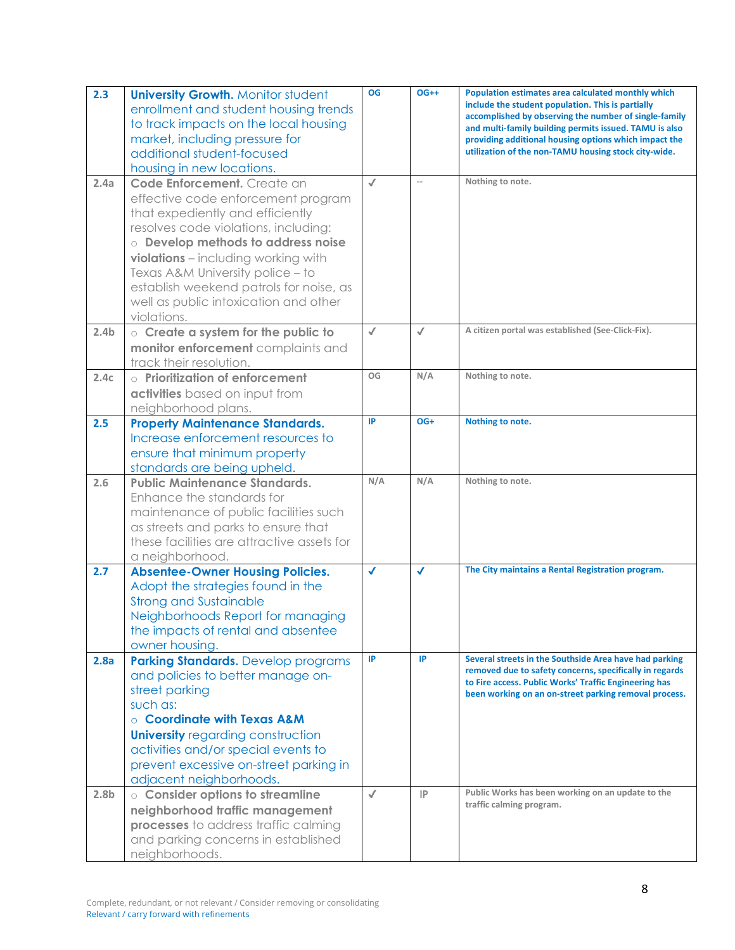| 2.3              | <b>University Growth. Monitor student</b><br>enrollment and student housing trends<br>to track impacts on the local housing<br>market, including pressure for<br>additional student-focused<br>housing in new locations.                                                                                                                                          | <b>OG</b>     | $OG++$                   | Population estimates area calculated monthly which<br>include the student population. This is partially<br>accomplished by observing the number of single-family<br>and multi-family building permits issued. TAMU is also<br>providing additional housing options which impact the<br>utilization of the non-TAMU housing stock city-wide. |
|------------------|-------------------------------------------------------------------------------------------------------------------------------------------------------------------------------------------------------------------------------------------------------------------------------------------------------------------------------------------------------------------|---------------|--------------------------|---------------------------------------------------------------------------------------------------------------------------------------------------------------------------------------------------------------------------------------------------------------------------------------------------------------------------------------------|
| 2.4a             | Code Enforcement. Create an<br>effective code enforcement program<br>that expediently and efficiently<br>resolves code violations, including:<br>o Develop methods to address noise<br>violations - including working with<br>Texas A&M University police - to<br>establish weekend patrols for noise, as<br>well as public intoxication and other<br>violations. | $\checkmark$  | $\overline{\phantom{a}}$ | Nothing to note.                                                                                                                                                                                                                                                                                                                            |
| 2.4 <sub>b</sub> | $\circ$ Create a system for the public to<br>monitor enforcement complaints and<br>track their resolution.                                                                                                                                                                                                                                                        | $\checkmark$  | $\checkmark$             | A citizen portal was established (See-Click-Fix).                                                                                                                                                                                                                                                                                           |
| 2.4c             | $\circ$ Prioritization of enforcement<br>activities based on input from<br>neighborhood plans.                                                                                                                                                                                                                                                                    | OG            | N/A                      | Nothing to note.                                                                                                                                                                                                                                                                                                                            |
| 2.5              | <b>Property Maintenance Standards.</b><br>Increase enforcement resources to<br>ensure that minimum property<br>standards are being upheld.                                                                                                                                                                                                                        | IP            | OG+                      | Nothing to note.                                                                                                                                                                                                                                                                                                                            |
| 2.6              | <b>Public Maintenance Standards.</b><br>Enhance the standards for<br>maintenance of public facilities such<br>as streets and parks to ensure that<br>these facilities are attractive assets for<br>a neighborhood.                                                                                                                                                | N/A           | N/A                      | Nothing to note.                                                                                                                                                                                                                                                                                                                            |
| 2.7              | <b>Absentee-Owner Housing Policies.</b><br>Adopt the strategies found in the<br><b>Strong and Sustainable</b><br>Neighborhoods Report for managing<br>the impacts of rental and absentee<br>owner housing.                                                                                                                                                        | $\mathcal{L}$ | $\checkmark$             | The City maintains a Rental Registration program.                                                                                                                                                                                                                                                                                           |
| 2.8a             | <b>Parking Standards.</b> Develop programs<br>and policies to better manage on-<br>street parking<br>such as:<br>○ Coordinate with Texas A&M<br><b>University regarding construction</b><br>activities and/or special events to<br>prevent excessive on-street parking in<br>adjacent neighborhoods.                                                              | IP            | IP                       | Several streets in the Southside Area have had parking<br>removed due to safety concerns, specifically in regards<br>to Fire access. Public Works' Traffic Engineering has<br>been working on an on-street parking removal process.                                                                                                         |
| 2.8 <sub>b</sub> | o Consider options to streamline<br>neighborhood traffic management<br>processes to address traffic calming<br>and parking concerns in established<br>neighborhoods.                                                                                                                                                                                              | $\checkmark$  | $\mathsf{IP}$            | Public Works has been working on an update to the<br>traffic calming program.                                                                                                                                                                                                                                                               |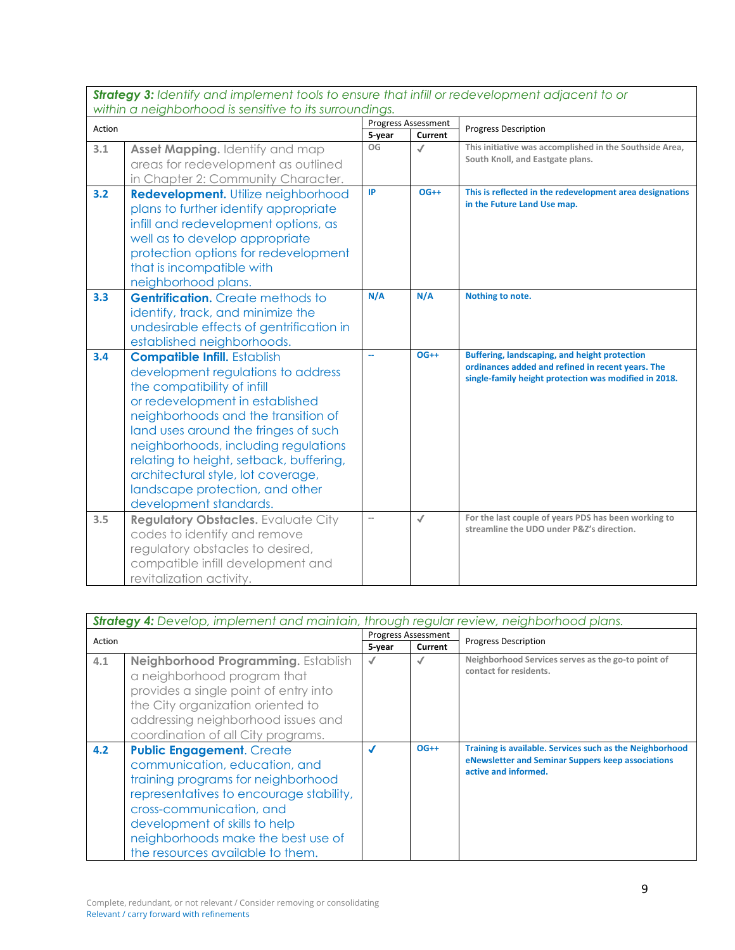*Strategy 3: Identify and implement tools to ensure that infill or redevelopment adjacent to or within a neighborhood is sensitive to its surroundings.*

|        |                                                                                                                                                                                                                                                                                                                                                                                                                  | <b>Progress Assessment</b> |              |                                                                                                                                                             |
|--------|------------------------------------------------------------------------------------------------------------------------------------------------------------------------------------------------------------------------------------------------------------------------------------------------------------------------------------------------------------------------------------------------------------------|----------------------------|--------------|-------------------------------------------------------------------------------------------------------------------------------------------------------------|
| Action |                                                                                                                                                                                                                                                                                                                                                                                                                  | 5-year                     | Current      | <b>Progress Description</b>                                                                                                                                 |
| 3.1    | Asset Mapping. Identify and map<br>areas for redevelopment as outlined<br>in Chapter 2: Community Character.                                                                                                                                                                                                                                                                                                     | OG                         | $\checkmark$ | This initiative was accomplished in the Southside Area,<br>South Knoll, and Eastgate plans.                                                                 |
| 3.2    | <b>Redevelopment.</b> Utilize neighborhood<br>plans to further identify appropriate<br>infill and redevelopment options, as<br>well as to develop appropriate<br>protection options for redevelopment<br>that is incompatible with<br>neighborhood plans.                                                                                                                                                        | IP                         | $OG++$       | This is reflected in the redevelopment area designations<br>in the Future Land Use map.                                                                     |
| 3.3    | <b>Gentrification.</b> Create methods to<br>identify, track, and minimize the<br>undesirable effects of gentrification in<br>established neighborhoods.                                                                                                                                                                                                                                                          | N/A                        | N/A          | Nothing to note.                                                                                                                                            |
| 3.4    | <b>Compatible Infill.</b> Establish<br>development regulations to address<br>the compatibility of infill<br>or redevelopment in established<br>neighborhoods and the transition of<br>land uses around the fringes of such<br>neighborhoods, including regulations<br>relating to height, setback, buffering,<br>architectural style, lot coverage,<br>landscape protection, and other<br>development standards. |                            | $OG++$       | Buffering, landscaping, and height protection<br>ordinances added and refined in recent years. The<br>single-family height protection was modified in 2018. |
| 3.5    | <b>Regulatory Obstacles.</b> Evaluate City<br>codes to identify and remove<br>regulatory obstacles to desired,<br>compatible infill development and<br>revitalization activity.                                                                                                                                                                                                                                  | $\overline{a}$             | $\checkmark$ | For the last couple of years PDS has been working to<br>streamline the UDO under P&Z's direction.                                                           |

|        | <b>Strategy 4:</b> Develop, implement and maintain, through regular review, neighborhood plans.                                                                                                                                                                                           |        |                                       |                                                                                                                                       |  |
|--------|-------------------------------------------------------------------------------------------------------------------------------------------------------------------------------------------------------------------------------------------------------------------------------------------|--------|---------------------------------------|---------------------------------------------------------------------------------------------------------------------------------------|--|
| Action |                                                                                                                                                                                                                                                                                           | 5-year | <b>Progress Assessment</b><br>Current | <b>Progress Description</b>                                                                                                           |  |
| 4.1    | Neighborhood Programming. Establish<br>a neighborhood program that<br>provides a single point of entry into<br>the City organization oriented to<br>addressing neighborhood issues and<br>coordination of all City programs.                                                              |        |                                       | Neighborhood Services serves as the go-to point of<br>contact for residents.                                                          |  |
| 4.2    | <b>Public Engagement. Create</b><br>communication, education, and<br>training programs for neighborhood<br>representatives to encourage stability,<br>cross-communication, and<br>development of skills to help<br>neighborhoods make the best use of<br>the resources available to them. | J      | $OG++$                                | Training is available. Services such as the Neighborhood<br>eNewsletter and Seminar Suppers keep associations<br>active and informed. |  |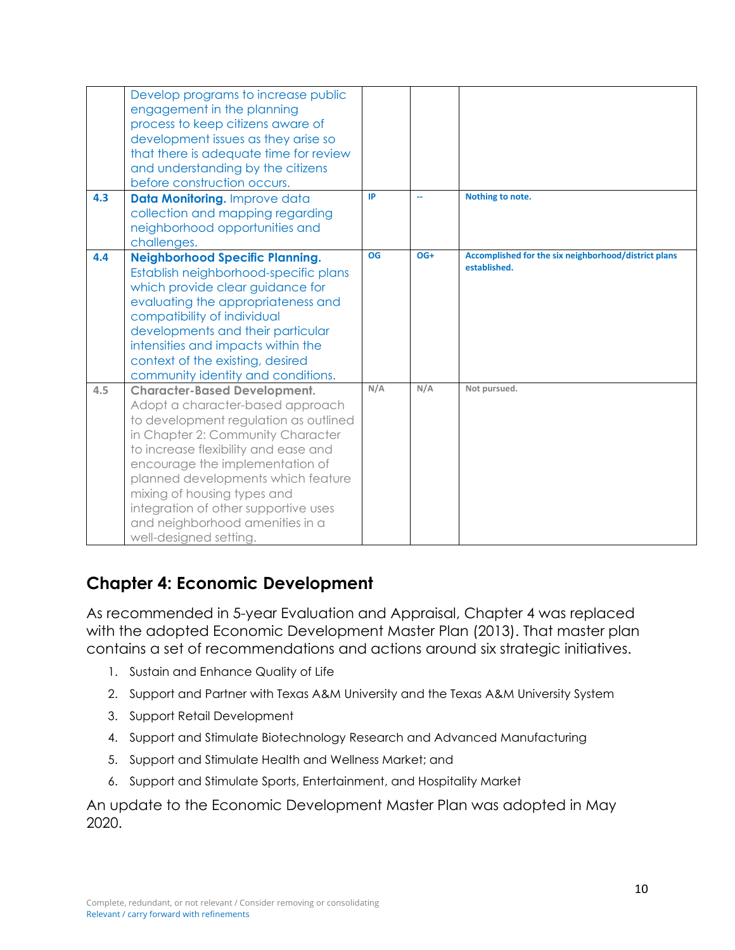| 4.3 | Develop programs to increase public<br>engagement in the planning<br>process to keep citizens aware of<br>development issues as they arise so<br>that there is adequate time for review<br>and understanding by the citizens<br>before construction occurs.<br>Data Monitoring. Improve data<br>collection and mapping regarding<br>neighborhood opportunities and                                         | IP        | 44    | Nothing to note.                                     |
|-----|------------------------------------------------------------------------------------------------------------------------------------------------------------------------------------------------------------------------------------------------------------------------------------------------------------------------------------------------------------------------------------------------------------|-----------|-------|------------------------------------------------------|
| 4.4 | challenges.<br><b>Neighborhood Specific Planning.</b>                                                                                                                                                                                                                                                                                                                                                      | <b>OG</b> | $OG+$ | Accomplished for the six neighborhood/district plans |
|     | Establish neighborhood-specific plans<br>which provide clear guidance for<br>evaluating the appropriateness and<br>compatibility of individual<br>developments and their particular<br>intensities and impacts within the<br>context of the existing, desired<br>community identity and conditions.                                                                                                        |           |       | established.                                         |
| 4.5 | <b>Character-Based Development.</b><br>Adopt a character-based approach<br>to development regulation as outlined<br>in Chapter 2: Community Character<br>to increase flexibility and ease and<br>encourage the implementation of<br>planned developments which feature<br>mixing of housing types and<br>integration of other supportive uses<br>and neighborhood amenities in a<br>well-designed setting. | N/A       | N/A   | Not pursued.                                         |

### **Chapter 4: Economic Development**

As recommended in 5-year Evaluation and Appraisal, Chapter 4 was replaced with the adopted Economic Development Master Plan (2013). That master plan contains a set of recommendations and actions around six strategic initiatives.

- 1. Sustain and Enhance Quality of Life
- 2. Support and Partner with Texas A&M University and the Texas A&M University System
- 3. Support Retail Development
- 4. Support and Stimulate Biotechnology Research and Advanced Manufacturing
- 5. Support and Stimulate Health and Wellness Market; and
- 6. Support and Stimulate Sports, Entertainment, and Hospitality Market

An update to the Economic Development Master Plan was adopted in May 2020.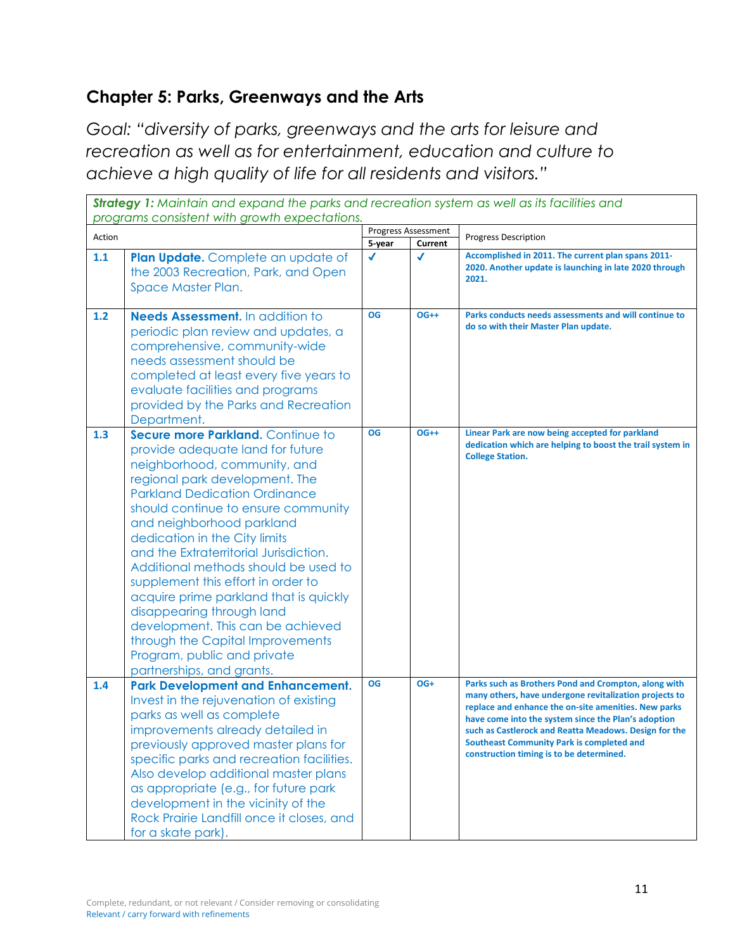## **Chapter 5: Parks, Greenways and the Arts**

*Goal: "diversity of parks, greenways and the arts for leisure and recreation as well as for entertainment, education and culture to achieve a high quality of life for all residents and visitors."* 

|        | <b>Strategy 1:</b> Maintain and expand the parks and recreation system as well as its facilities and<br>programs consistent with growth expectations.                                                                                                                                                                                                                                                                                                                                                                                                                                                                    |              |                            |                                                                                                                                                                                                                                                                                                                                                                                        |  |
|--------|--------------------------------------------------------------------------------------------------------------------------------------------------------------------------------------------------------------------------------------------------------------------------------------------------------------------------------------------------------------------------------------------------------------------------------------------------------------------------------------------------------------------------------------------------------------------------------------------------------------------------|--------------|----------------------------|----------------------------------------------------------------------------------------------------------------------------------------------------------------------------------------------------------------------------------------------------------------------------------------------------------------------------------------------------------------------------------------|--|
| Action |                                                                                                                                                                                                                                                                                                                                                                                                                                                                                                                                                                                                                          |              | <b>Progress Assessment</b> | <b>Progress Description</b>                                                                                                                                                                                                                                                                                                                                                            |  |
|        |                                                                                                                                                                                                                                                                                                                                                                                                                                                                                                                                                                                                                          | 5-year       | Current                    |                                                                                                                                                                                                                                                                                                                                                                                        |  |
| 1.1    | Plan Update. Complete an update of<br>the 2003 Recreation, Park, and Open<br>Space Master Plan.                                                                                                                                                                                                                                                                                                                                                                                                                                                                                                                          | $\checkmark$ | √                          | Accomplished in 2011. The current plan spans 2011-<br>2020. Another update is launching in late 2020 through<br>2021.                                                                                                                                                                                                                                                                  |  |
| 1.2    | Needs Assessment. In addition to<br>periodic plan review and updates, a<br>comprehensive, community-wide<br>needs assessment should be<br>completed at least every five years to<br>evaluate facilities and programs<br>provided by the Parks and Recreation<br>Department.                                                                                                                                                                                                                                                                                                                                              | <b>OG</b>    | $OG++$                     | Parks conducts needs assessments and will continue to<br>do so with their Master Plan update.                                                                                                                                                                                                                                                                                          |  |
| 1.3    | Secure more Parkland. Continue to<br>provide adequate land for future<br>neighborhood, community, and<br>regional park development. The<br><b>Parkland Dedication Ordinance</b><br>should continue to ensure community<br>and neighborhood parkland<br>dedication in the City limits<br>and the Extraterritorial Jurisdiction.<br>Additional methods should be used to<br>supplement this effort in order to<br>acquire prime parkland that is quickly<br>disappearing through land<br>development. This can be achieved<br>through the Capital Improvements<br>Program, public and private<br>partnerships, and grants. | OG           | $OG++$                     | Linear Park are now being accepted for parkland<br>dedication which are helping to boost the trail system in<br><b>College Station.</b>                                                                                                                                                                                                                                                |  |
| 1.4    | <b>Park Development and Enhancement.</b><br>Invest in the rejuvenation of existing<br>parks as well as complete<br>improvements already detailed in<br>previously approved master plans for<br>specific parks and recreation facilities.<br>Also develop additional master plans<br>as appropriate (e.g., for future park<br>development in the vicinity of the<br>Rock Prairie Landfill once it closes, and<br>for a skate park).                                                                                                                                                                                       | OG           | OG+                        | Parks such as Brothers Pond and Crompton, along with<br>many others, have undergone revitalization projects to<br>replace and enhance the on-site amenities. New parks<br>have come into the system since the Plan's adoption<br>such as Castlerock and Reatta Meadows. Design for the<br><b>Southeast Community Park is completed and</b><br>construction timing is to be determined. |  |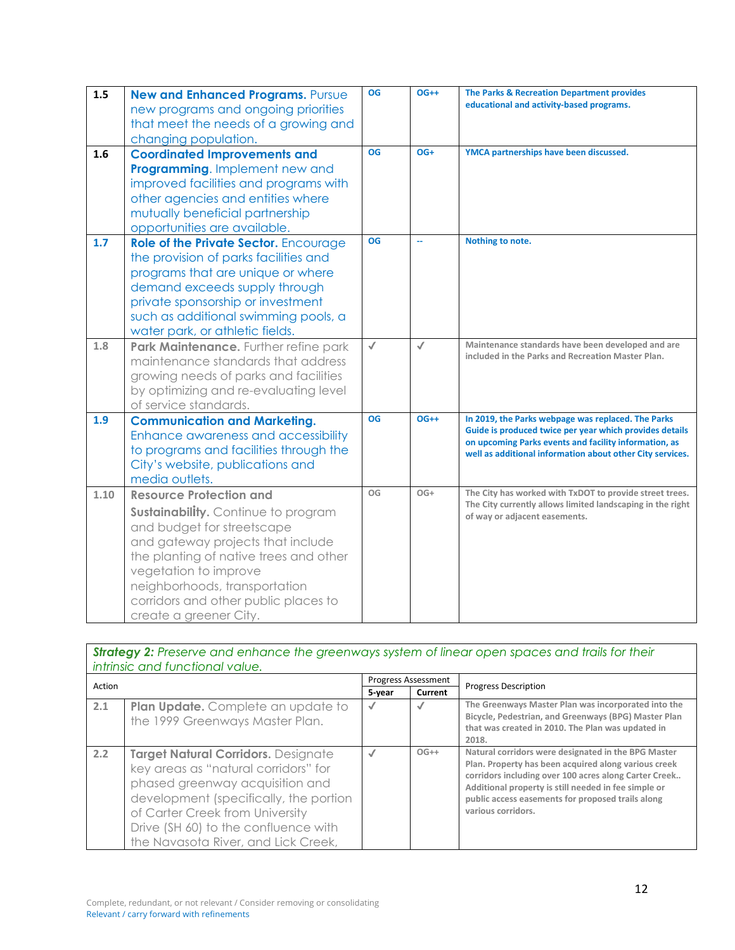| 1.5  | <b>New and Enhanced Programs. Pursue</b><br>new programs and ongoing priorities<br>that meet the needs of a growing and<br>changing population.                                                                                                                                                                       | <b>OG</b>    | $OG++$       | The Parks & Recreation Department provides<br>educational and activity-based programs.                                                                                                                                              |
|------|-----------------------------------------------------------------------------------------------------------------------------------------------------------------------------------------------------------------------------------------------------------------------------------------------------------------------|--------------|--------------|-------------------------------------------------------------------------------------------------------------------------------------------------------------------------------------------------------------------------------------|
| 1.6  | <b>Coordinated Improvements and</b><br>Programming. Implement new and<br>improved facilities and programs with<br>other agencies and entities where<br>mutually beneficial partnership<br>opportunities are available.                                                                                                | <b>OG</b>    | OG+          | YMCA partnerships have been discussed.                                                                                                                                                                                              |
| 1.7  | Role of the Private Sector. Encourage<br>the provision of parks facilities and<br>programs that are unique or where<br>demand exceeds supply through<br>private sponsorship or investment<br>such as additional swimming pools, a<br>water park, or athletic fields.                                                  | <b>OG</b>    | цü           | Nothing to note.                                                                                                                                                                                                                    |
| 1.8  | Park Maintenance. Further refine park<br>maintenance standards that address<br>growing needs of parks and facilities<br>by optimizing and re-evaluating level<br>of service standards.                                                                                                                                | $\checkmark$ | $\checkmark$ | Maintenance standards have been developed and are<br>included in the Parks and Recreation Master Plan.                                                                                                                              |
| 1.9  | <b>Communication and Marketing.</b><br>Enhance awareness and accessibility<br>to programs and facilities through the<br>City's website, publications and<br>media outlets.                                                                                                                                            | <b>OG</b>    | $OG++$       | In 2019, the Parks webpage was replaced. The Parks<br>Guide is produced twice per year which provides details<br>on upcoming Parks events and facility information, as<br>well as additional information about other City services. |
| 1.10 | <b>Resource Protection and</b><br><b>Sustainability.</b> Continue to program<br>and budget for streetscape<br>and gateway projects that include<br>the planting of native trees and other<br>vegetation to improve<br>neighborhoods, transportation<br>corridors and other public places to<br>create a greener City. | OG           | $OG+$        | The City has worked with TxDOT to provide street trees.<br>The City currently allows limited landscaping in the right<br>of way or adjacent easements.                                                                              |

| <b>Strategy 2:</b> Preserve and enhance the greenways system of linear open spaces and trails for their |        |                     |                             |  |  |
|---------------------------------------------------------------------------------------------------------|--------|---------------------|-----------------------------|--|--|
| intrinsic and functional value.                                                                         |        |                     |                             |  |  |
| Action                                                                                                  |        | Progress Assessment | <b>Progress Description</b> |  |  |
|                                                                                                         | 5-year | Current             |                             |  |  |

| Action |                                                                                                                                                                                                                                                                            | . . 05. CJJ , 199699. C. . 1 |         | <b>Progress Description</b>                                                                                                                                                                                                                                                                             |
|--------|----------------------------------------------------------------------------------------------------------------------------------------------------------------------------------------------------------------------------------------------------------------------------|------------------------------|---------|---------------------------------------------------------------------------------------------------------------------------------------------------------------------------------------------------------------------------------------------------------------------------------------------------------|
|        |                                                                                                                                                                                                                                                                            | 5-year                       | Current |                                                                                                                                                                                                                                                                                                         |
| 2.1    | Plan Update. Complete an update to<br>the 1999 Greenways Master Plan.                                                                                                                                                                                                      |                              |         | The Greenways Master Plan was incorporated into the<br>Bicycle, Pedestrian, and Greenways (BPG) Master Plan<br>that was created in 2010. The Plan was updated in<br>2018.                                                                                                                               |
| 2.2    | Target Natural Corridors. Designate<br>key areas as "natural corridors" for<br>phased greenway acquisition and<br>development (specifically, the portion<br>of Carter Creek from University<br>Drive (SH 60) to the confluence with<br>the Navasota River, and Lick Creek, |                              | $OG++$  | Natural corridors were designated in the BPG Master<br>Plan. Property has been acquired along various creek<br>corridors including over 100 acres along Carter Creek<br>Additional property is still needed in fee simple or<br>public access easements for proposed trails along<br>various corridors. |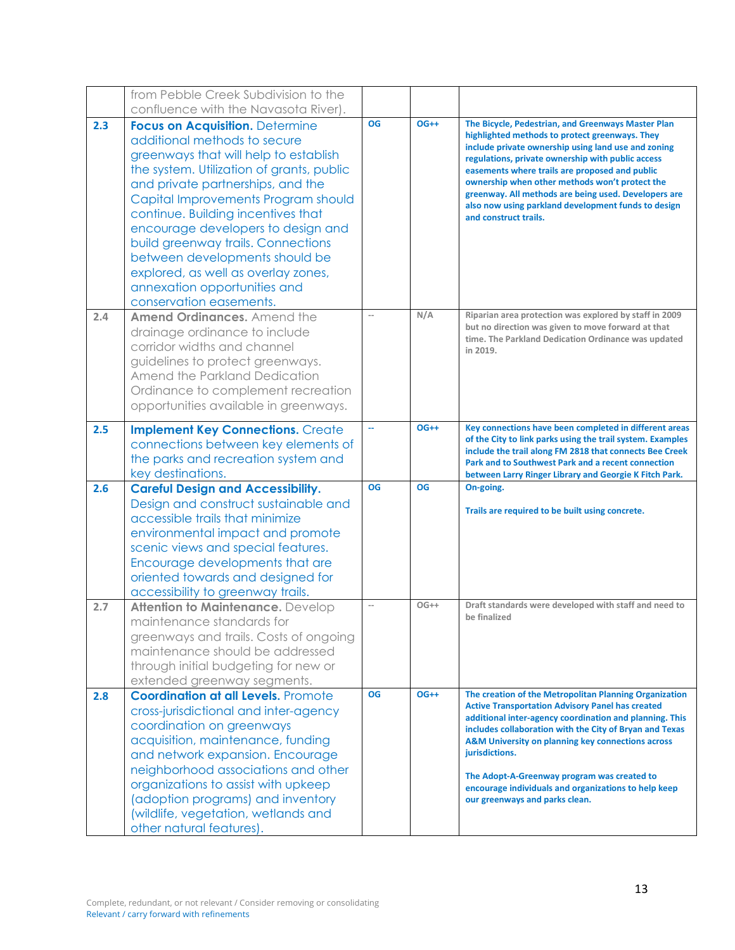|     | from Pebble Creek Subdivision to the                                                                                                                                                                                                                                                                                                                                                                                                                                                           |                   |           |                                                                                                                                                                                                                                                                                                                                                                                                                                                              |
|-----|------------------------------------------------------------------------------------------------------------------------------------------------------------------------------------------------------------------------------------------------------------------------------------------------------------------------------------------------------------------------------------------------------------------------------------------------------------------------------------------------|-------------------|-----------|--------------------------------------------------------------------------------------------------------------------------------------------------------------------------------------------------------------------------------------------------------------------------------------------------------------------------------------------------------------------------------------------------------------------------------------------------------------|
|     | confluence with the Navasota River).                                                                                                                                                                                                                                                                                                                                                                                                                                                           |                   |           |                                                                                                                                                                                                                                                                                                                                                                                                                                                              |
| 2.3 | <b>Focus on Acquisition. Determine</b><br>additional methods to secure<br>greenways that will help to establish<br>the system. Utilization of grants, public<br>and private partnerships, and the<br>Capital Improvements Program should<br>continue. Building incentives that<br>encourage developers to design and<br>build greenway trails. Connections<br>between developments should be<br>explored, as well as overlay zones,<br>annexation opportunities and<br>conservation easements. | OG                | $OG++$    | The Bicycle, Pedestrian, and Greenways Master Plan<br>highlighted methods to protect greenways. They<br>include private ownership using land use and zoning<br>regulations, private ownership with public access<br>easements where trails are proposed and public<br>ownership when other methods won't protect the<br>greenway. All methods are being used. Developers are<br>also now using parkland development funds to design<br>and construct trails. |
| 2.4 | <b>Amend Ordinances.</b> Amend the<br>drainage ordinance to include<br>corridor widths and channel<br>guidelines to protect greenways.<br>Amend the Parkland Dedication<br>Ordinance to complement recreation<br>opportunities available in greenways.                                                                                                                                                                                                                                         |                   | N/A       | Riparian area protection was explored by staff in 2009<br>but no direction was given to move forward at that<br>time. The Parkland Dedication Ordinance was updated<br>in 2019.                                                                                                                                                                                                                                                                              |
| 2.5 | <b>Implement Key Connections. Create</b><br>connections between key elements of<br>the parks and recreation system and<br>key destinations.                                                                                                                                                                                                                                                                                                                                                    | u.                | $OG++$    | Key connections have been completed in different areas<br>of the City to link parks using the trail system. Examples<br>include the trail along FM 2818 that connects Bee Creek<br>Park and to Southwest Park and a recent connection<br>between Larry Ringer Library and Georgie K Fitch Park.                                                                                                                                                              |
| 2.6 | <b>Careful Design and Accessibility.</b><br>Design and construct sustainable and<br>accessible trails that minimize<br>environmental impact and promote<br>scenic views and special features.<br>Encourage developments that are<br>oriented towards and designed for<br>accessibility to greenway trails.                                                                                                                                                                                     | <b>OG</b>         | <b>OG</b> | On-going.<br>Trails are required to be built using concrete.                                                                                                                                                                                                                                                                                                                                                                                                 |
| 2.7 | Attention to Maintenance. Develop<br>maintenance standards for<br>greenways and trails. Costs of ongoing<br>maintenance should be addressed<br>through initial budgeting for new or<br>extended greenway segments.                                                                                                                                                                                                                                                                             | $\qquad \qquad -$ | $OG++$    | Draft standards were developed with staff and need to<br>be finalized                                                                                                                                                                                                                                                                                                                                                                                        |
| 2.8 | <b>Coordination at all Levels. Promote</b><br>cross-jurisdictional and inter-agency<br>coordination on greenways<br>acquisition, maintenance, funding<br>and network expansion. Encourage<br>neighborhood associations and other<br>organizations to assist with upkeep<br>(adoption programs) and inventory<br>(wildlife, vegetation, wetlands and<br>other natural features).                                                                                                                | OG                | $OG++$    | The creation of the Metropolitan Planning Organization<br><b>Active Transportation Advisory Panel has created</b><br>additional inter-agency coordination and planning. This<br>includes collaboration with the City of Bryan and Texas<br>A&M University on planning key connections across<br>jurisdictions.<br>The Adopt-A-Greenway program was created to<br>encourage individuals and organizations to help keep<br>our greenways and parks clean.      |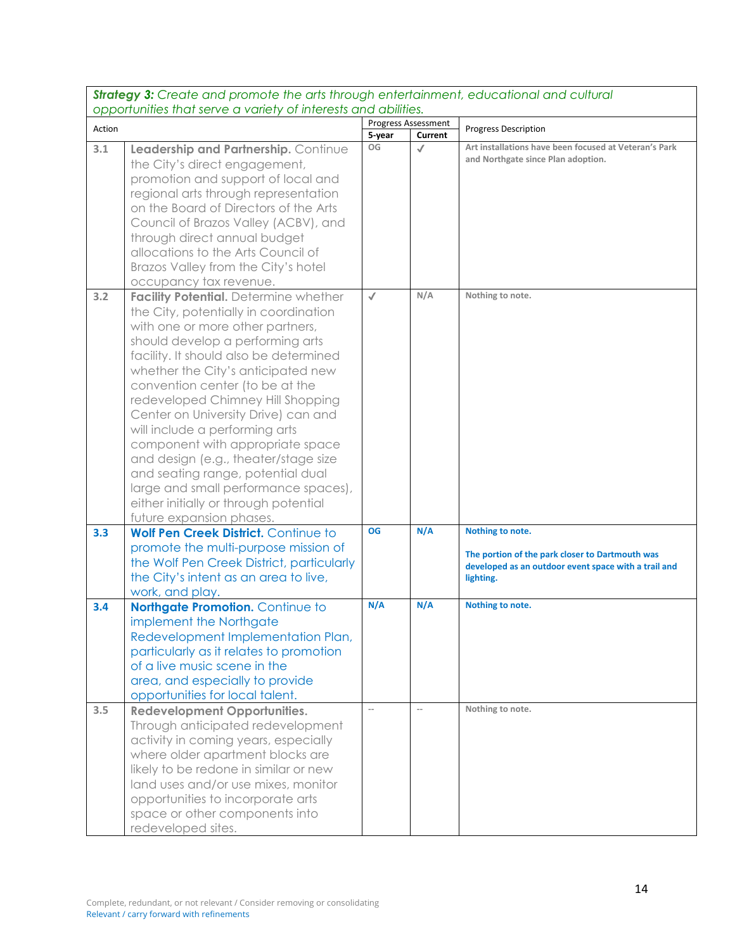*Strategy 3: Create and promote the arts through entertainment, educational and cultural opportunities that serve a variety of interests and abilities.* Action Progress Assessment<br>
Action **Progress Assessment**<br> **Action Progress Description 3.1 Leadership and Partnership.** Continue the City's direct engagement, promotion and support of local and regional arts through representation on the Board of Directors of the Arts Council of Brazos Valley (ACBV), and through direct annual budget allocations to the Arts Council of Brazos Valley from the City's hotel occupancy tax revenue. **OG Art installations have been focused at Veteran's Park and Northgate since Plan adoption. 3.2 Facility Potential.** Determine whether the City, potentially in coordination with one or more other partners, should develop a performing arts facility. It should also be determined whether the City's anticipated new convention center (to be at the redeveloped Chimney Hill Shopping Center on University Drive) can and will include a performing arts component with appropriate space and design (e.g., theater/stage size and seating range, potential dual large and small performance spaces), either initially or through potential future expansion phases. ✔ **N/A Nothing to note. 3.3 Wolf Pen Creek District.** Continue to promote the multi-purpose mission of the Wolf Pen Creek District, particularly the City's intent as an area to live, work, and play. **OG N/A Nothing to note. The portion of the park closer to Dartmouth was developed as an outdoor event space with a trail and lighting. 3.4 Northgate Promotion.** Continue to implement the Northgate Redevelopment Implementation Plan, particularly as it relates to promotion of a live music scene in the area, and especially to provide opportunities for local talent. **N/A N/A Nothing to note. 3.5 Redevelopment Opportunities.**  Through anticipated redevelopment activity in coming years, especially where older apartment blocks are likely to be redone in similar or new land uses and/or use mixes, monitor opportunities to incorporate arts space or other components into **Nothing to note.** 

redeveloped sites.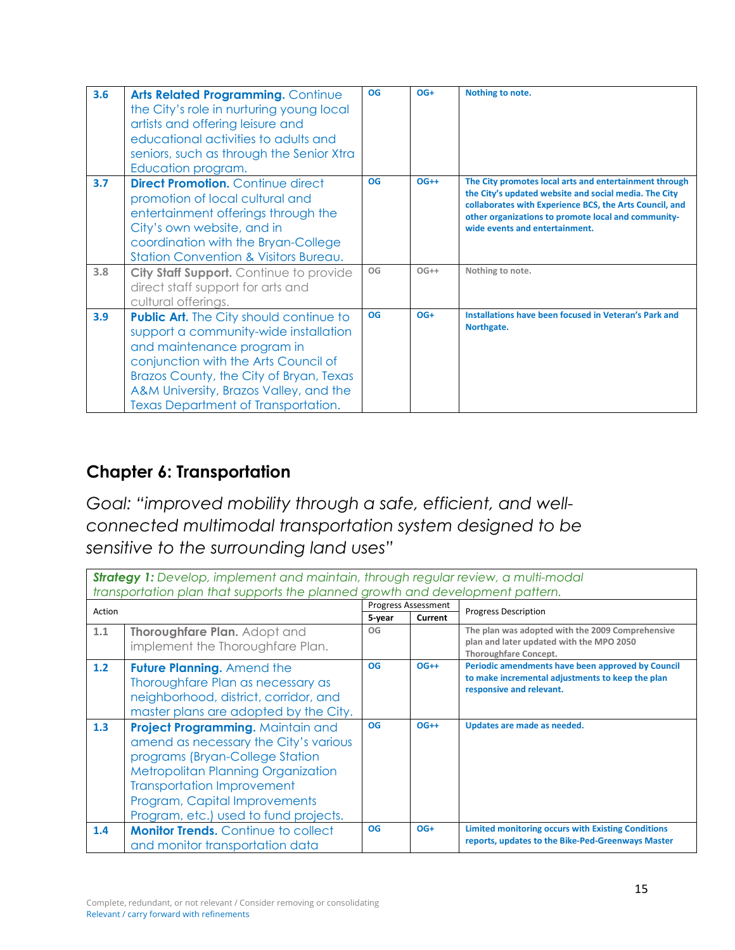| 3.6 | Arts Related Programming. Continue<br>the City's role in nurturing young local<br>artists and offering leisure and<br>educational activities to adults and<br>seniors, such as through the Senior Xtra<br>Education program.                                                              | OG | $OG+$  | Nothing to note.                                                                                                                                                                                                                                                    |
|-----|-------------------------------------------------------------------------------------------------------------------------------------------------------------------------------------------------------------------------------------------------------------------------------------------|----|--------|---------------------------------------------------------------------------------------------------------------------------------------------------------------------------------------------------------------------------------------------------------------------|
| 3.7 | <b>Direct Promotion.</b> Continue direct<br>promotion of local cultural and<br>entertainment offerings through the<br>City's own website, and in<br>coordination with the Bryan-College<br><b>Station Convention &amp; Visitors Bureau.</b>                                               | OG | $OG++$ | The City promotes local arts and entertainment through<br>the City's updated website and social media. The City<br>collaborates with Experience BCS, the Arts Council, and<br>other organizations to promote local and community-<br>wide events and entertainment. |
| 3.8 | City Staff Support. Continue to provide<br>direct staff support for arts and<br>cultural offerings.                                                                                                                                                                                       | OG | $OG++$ | Nothing to note.                                                                                                                                                                                                                                                    |
| 3.9 | <b>Public Art.</b> The City should continue to<br>support a community-wide installation<br>and maintenance program in<br>conjunction with the Arts Council of<br>Brazos County, the City of Bryan, Texas<br>A&M University, Brazos Valley, and the<br>Texas Department of Transportation. | OG | $OG+$  | Installations have been focused in Veteran's Park and<br>Northgate.                                                                                                                                                                                                 |

# **Chapter 6: Transportation**

*Goal: "improved mobility through a safe, efficient, and wellconnected multimodal transportation system designed to be sensitive to the surrounding land uses"* 

| <b>Strategy 1:</b> Develop, implement and maintain, through regular review, a multi-modal<br>transportation plan that supports the planned growth and development pattern. |                                            |           |                            |                                                                              |
|----------------------------------------------------------------------------------------------------------------------------------------------------------------------------|--------------------------------------------|-----------|----------------------------|------------------------------------------------------------------------------|
| Action                                                                                                                                                                     |                                            |           | <b>Progress Assessment</b> | <b>Progress Description</b>                                                  |
|                                                                                                                                                                            |                                            | 5-year    | Current                    |                                                                              |
| 1.1                                                                                                                                                                        | Thoroughfare Plan. Adopt and               | OG        |                            | The plan was adopted with the 2009 Comprehensive                             |
|                                                                                                                                                                            | implement the Thoroughfare Plan.           |           |                            | plan and later updated with the MPO 2050<br><b>Thoroughfare Concept.</b>     |
| 1.2                                                                                                                                                                        | <b>Future Planning.</b> Amend the          | <b>OG</b> | $OG++$                     | Periodic amendments have been approved by Council                            |
|                                                                                                                                                                            | Thoroughfare Plan as necessary as          |           |                            | to make incremental adjustments to keep the plan<br>responsive and relevant. |
|                                                                                                                                                                            | neighborhood, district, corridor, and      |           |                            |                                                                              |
|                                                                                                                                                                            | master plans are adopted by the City.      |           |                            |                                                                              |
| 1.3                                                                                                                                                                        | Project Programming. Maintain and          | OG        | $OG++$                     | Updates are made as needed.                                                  |
|                                                                                                                                                                            | amend as necessary the City's various      |           |                            |                                                                              |
|                                                                                                                                                                            | programs (Bryan-College Station            |           |                            |                                                                              |
|                                                                                                                                                                            | <b>Metropolitan Planning Organization</b>  |           |                            |                                                                              |
|                                                                                                                                                                            | <b>Transportation Improvement</b>          |           |                            |                                                                              |
|                                                                                                                                                                            | Program, Capital Improvements              |           |                            |                                                                              |
|                                                                                                                                                                            | Program, etc.) used to fund projects.      |           |                            |                                                                              |
| 1.4                                                                                                                                                                        | <b>Monitor Trends.</b> Continue to collect | <b>OG</b> | $OG+$                      | <b>Limited monitoring occurs with Existing Conditions</b>                    |
|                                                                                                                                                                            | and monitor transportation data            |           |                            | reports, updates to the Bike-Ped-Greenways Master                            |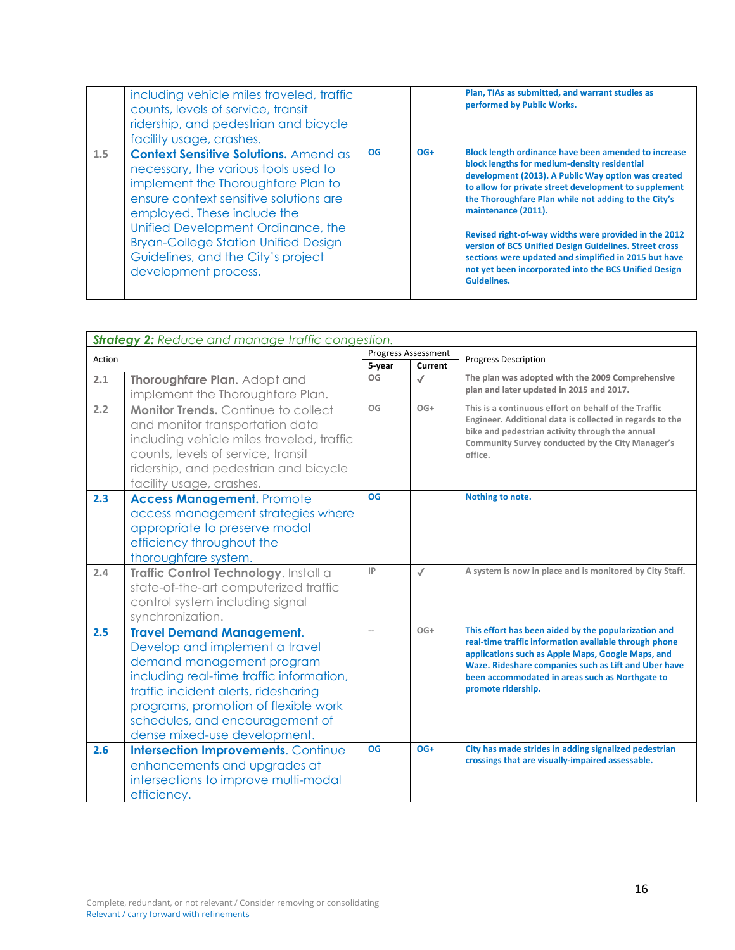| including vehicle miles traveled, traffic<br>counts, levels of service, transit<br>ridership, and pedestrian and bicycle<br>facility usage, crashes.                                                                                                                                                                                                          |    |       | Plan, TIAs as submitted, and warrant studies as<br>performed by Public Works.                                                                                                                                                                                                                                                                                                                                                                                                                                                                                  |
|---------------------------------------------------------------------------------------------------------------------------------------------------------------------------------------------------------------------------------------------------------------------------------------------------------------------------------------------------------------|----|-------|----------------------------------------------------------------------------------------------------------------------------------------------------------------------------------------------------------------------------------------------------------------------------------------------------------------------------------------------------------------------------------------------------------------------------------------------------------------------------------------------------------------------------------------------------------------|
| <b>Context Sensitive Solutions.</b> Amend as<br>1.5<br>necessary, the various tools used to<br>implement the Thoroughfare Plan to<br>ensure context sensitive solutions are<br>employed. These include the<br>Unified Development Ordinance, the<br><b>Bryan-College Station Unified Design</b><br>Guidelines, and the City's project<br>development process. | OG | $OG+$ | Block length ordinance have been amended to increase<br>block lengths for medium-density residential<br>development (2013). A Public Way option was created<br>to allow for private street development to supplement<br>the Thoroughfare Plan while not adding to the City's<br>maintenance (2011).<br>Revised right-of-way widths were provided in the 2012<br>version of BCS Unified Design Guidelines. Street cross<br>sections were updated and simplified in 2015 but have<br>not yet been incorporated into the BCS Unified Design<br><b>Guidelines.</b> |

|        | <b>Strategy 2: Reduce and manage traffic congestion.</b>                                                                                                                                                                                                                                       |                            |              |                                                                                                                                                                                                                                                                                                     |  |  |
|--------|------------------------------------------------------------------------------------------------------------------------------------------------------------------------------------------------------------------------------------------------------------------------------------------------|----------------------------|--------------|-----------------------------------------------------------------------------------------------------------------------------------------------------------------------------------------------------------------------------------------------------------------------------------------------------|--|--|
| Action |                                                                                                                                                                                                                                                                                                | <b>Progress Assessment</b> |              | <b>Progress Description</b>                                                                                                                                                                                                                                                                         |  |  |
|        |                                                                                                                                                                                                                                                                                                | 5-year                     | Current      |                                                                                                                                                                                                                                                                                                     |  |  |
| 2.1    | Thoroughfare Plan. Adopt and                                                                                                                                                                                                                                                                   | OG                         | $\checkmark$ | The plan was adopted with the 2009 Comprehensive<br>plan and later updated in 2015 and 2017.                                                                                                                                                                                                        |  |  |
|        | implement the Thoroughfare Plan.                                                                                                                                                                                                                                                               |                            |              |                                                                                                                                                                                                                                                                                                     |  |  |
| 2.2    | Monitor Trends. Continue to collect<br>and monitor transportation data<br>including vehicle miles traveled, traffic<br>counts, levels of service, transit<br>ridership, and pedestrian and bicycle<br>facility usage, crashes.                                                                 | OG                         | $OG+$        | This is a continuous effort on behalf of the Traffic<br>Engineer. Additional data is collected in regards to the<br>bike and pedestrian activity through the annual<br>Community Survey conducted by the City Manager's<br>office.                                                                  |  |  |
| 2.3    | <b>Access Management. Promote</b><br>access management strategies where<br>appropriate to preserve modal<br>efficiency throughout the<br>thoroughfare system.                                                                                                                                  | <b>OG</b>                  |              | Nothing to note.                                                                                                                                                                                                                                                                                    |  |  |
| 2.4    | Traffic Control Technology. Install a<br>state-of-the-art computerized traffic<br>control system including signal<br>synchronization.                                                                                                                                                          | IP                         | $\sqrt{ }$   | A system is now in place and is monitored by City Staff.                                                                                                                                                                                                                                            |  |  |
| 2.5    | <b>Travel Demand Management.</b><br>Develop and implement a travel<br>demand management program<br>including real-time traffic information,<br>traffic incident alerts, ridesharing<br>programs, promotion of flexible work<br>schedules, and encouragement of<br>dense mixed-use development. | $-$                        | $OG+$        | This effort has been aided by the popularization and<br>real-time traffic information available through phone<br>applications such as Apple Maps, Google Maps, and<br>Waze. Rideshare companies such as Lift and Uber have<br>been accommodated in areas such as Northgate to<br>promote ridership. |  |  |
| 2.6    | <b>Intersection Improvements. Continue</b><br>enhancements and upgrades at<br>intersections to improve multi-modal<br>efficiency.                                                                                                                                                              | <b>OG</b>                  | $OG+$        | City has made strides in adding signalized pedestrian<br>crossings that are visually-impaired assessable.                                                                                                                                                                                           |  |  |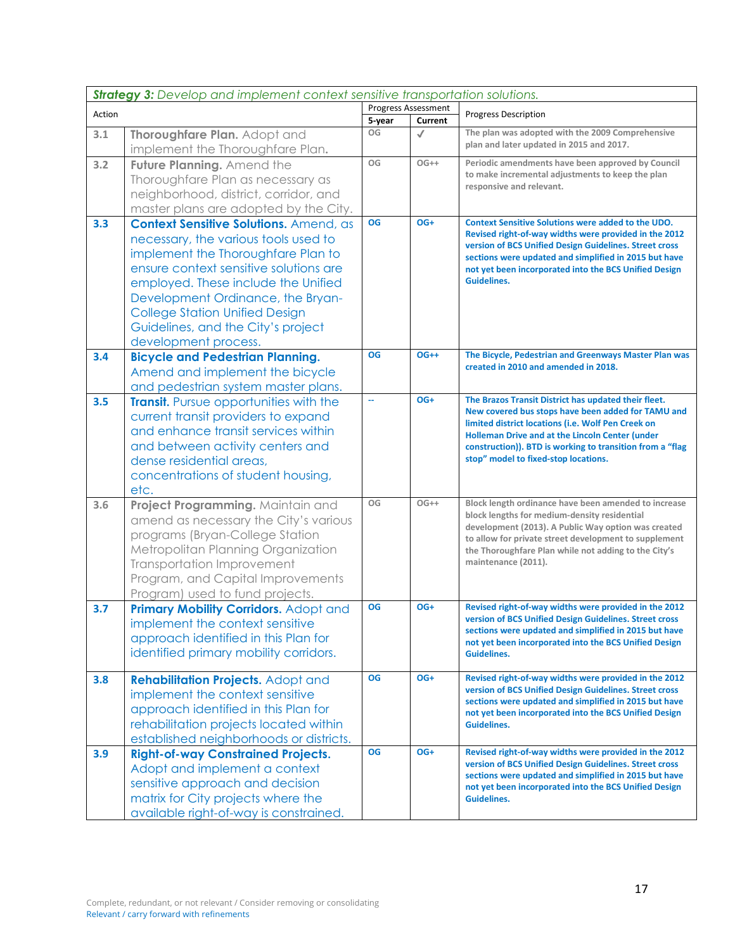|        | <b>Strategy 3:</b> Develop and implement context sensitive transportation solutions.                                                                                                                                                                                                                                                              |           |                                |                                                                                                                                                                                                                                                                                                                          |  |
|--------|---------------------------------------------------------------------------------------------------------------------------------------------------------------------------------------------------------------------------------------------------------------------------------------------------------------------------------------------------|-----------|--------------------------------|--------------------------------------------------------------------------------------------------------------------------------------------------------------------------------------------------------------------------------------------------------------------------------------------------------------------------|--|
| Action |                                                                                                                                                                                                                                                                                                                                                   | 5-year    | Progress Assessment<br>Current | <b>Progress Description</b>                                                                                                                                                                                                                                                                                              |  |
| 3.1    | Thoroughfare Plan. Adopt and<br>implement the Thoroughfare Plan.                                                                                                                                                                                                                                                                                  | OG        | $\checkmark$                   | The plan was adopted with the 2009 Comprehensive<br>plan and later updated in 2015 and 2017.                                                                                                                                                                                                                             |  |
| 3.2    | Future Planning. Amend the<br>Thoroughfare Plan as necessary as<br>neighborhood, district, corridor, and<br>master plans are adopted by the City.                                                                                                                                                                                                 | OG        | $OG++$                         | Periodic amendments have been approved by Council<br>to make incremental adjustments to keep the plan<br>responsive and relevant.                                                                                                                                                                                        |  |
| 3.3    | Context Sensitive Solutions. Amend, as<br>necessary, the various tools used to<br>implement the Thoroughfare Plan to<br>ensure context sensitive solutions are<br>employed. These include the Unified<br>Development Ordinance, the Bryan-<br><b>College Station Unified Design</b><br>Guidelines, and the City's project<br>development process. | OG        | OG+                            | <b>Context Sensitive Solutions were added to the UDO.</b><br>Revised right-of-way widths were provided in the 2012<br>version of BCS Unified Design Guidelines. Street cross<br>sections were updated and simplified in 2015 but have<br>not yet been incorporated into the BCS Unified Design<br><b>Guidelines.</b>     |  |
| 3.4    | <b>Bicycle and Pedestrian Planning.</b><br>Amend and implement the bicycle<br>and pedestrian system master plans.                                                                                                                                                                                                                                 | <b>OG</b> | $OG++$                         | The Bicycle, Pedestrian and Greenways Master Plan was<br>created in 2010 and amended in 2018.                                                                                                                                                                                                                            |  |
| 3.5    | <b>Transit.</b> Pursue opportunities with the<br>current transit providers to expand<br>and enhance transit services within<br>and between activity centers and<br>dense residential areas,<br>concentrations of student housing,<br>etc.                                                                                                         |           | OG+                            | The Brazos Transit District has updated their fleet.<br>New covered bus stops have been added for TAMU and<br>limited district locations (i.e. Wolf Pen Creek on<br>Holleman Drive and at the Lincoln Center (under<br>construction)). BTD is working to transition from a "flag<br>stop" model to fixed-stop locations. |  |
| 3.6    | Project Programming. Maintain and<br>amend as necessary the City's various<br>programs (Bryan-College Station<br>Metropolitan Planning Organization<br><b>Transportation Improvement</b><br>Program, and Capital Improvements<br>Program) used to fund projects.                                                                                  | OG        | $OG++$                         | Block length ordinance have been amended to increase<br>block lengths for medium-density residential<br>development (2013). A Public Way option was created<br>to allow for private street development to supplement<br>the Thoroughfare Plan while not adding to the City's<br>maintenance (2011).                      |  |
| 3.7    | Primary Mobility Corridors. Adopt and<br>implement the context sensitive<br>approach identified in this Plan for<br>identified primary mobility corridors.                                                                                                                                                                                        | <b>OG</b> | OG+                            | Revised right-of-way widths were provided in the 2012<br>version of BCS Unified Design Guidelines. Street cross<br>sections were updated and simplified in 2015 but have<br>not yet been incorporated into the BCS Unified Design<br><b>Guidelines.</b>                                                                  |  |
| 3.8    | <b>Rehabilitation Projects.</b> Adopt and<br>implement the context sensitive<br>approach identified in this Plan for<br>rehabilitation projects located within<br>established neighborhoods or districts.                                                                                                                                         | <b>OG</b> | OG+                            | Revised right-of-way widths were provided in the 2012<br>version of BCS Unified Design Guidelines. Street cross<br>sections were updated and simplified in 2015 but have<br>not yet been incorporated into the BCS Unified Design<br><b>Guidelines.</b>                                                                  |  |
| 3.9    | <b>Right-of-way Constrained Projects.</b><br>Adopt and implement a context<br>sensitive approach and decision<br>matrix for City projects where the<br>available right-of-way is constrained.                                                                                                                                                     | <b>OG</b> | OG+                            | Revised right-of-way widths were provided in the 2012<br>version of BCS Unified Design Guidelines. Street cross<br>sections were updated and simplified in 2015 but have<br>not yet been incorporated into the BCS Unified Design<br><b>Guidelines.</b>                                                                  |  |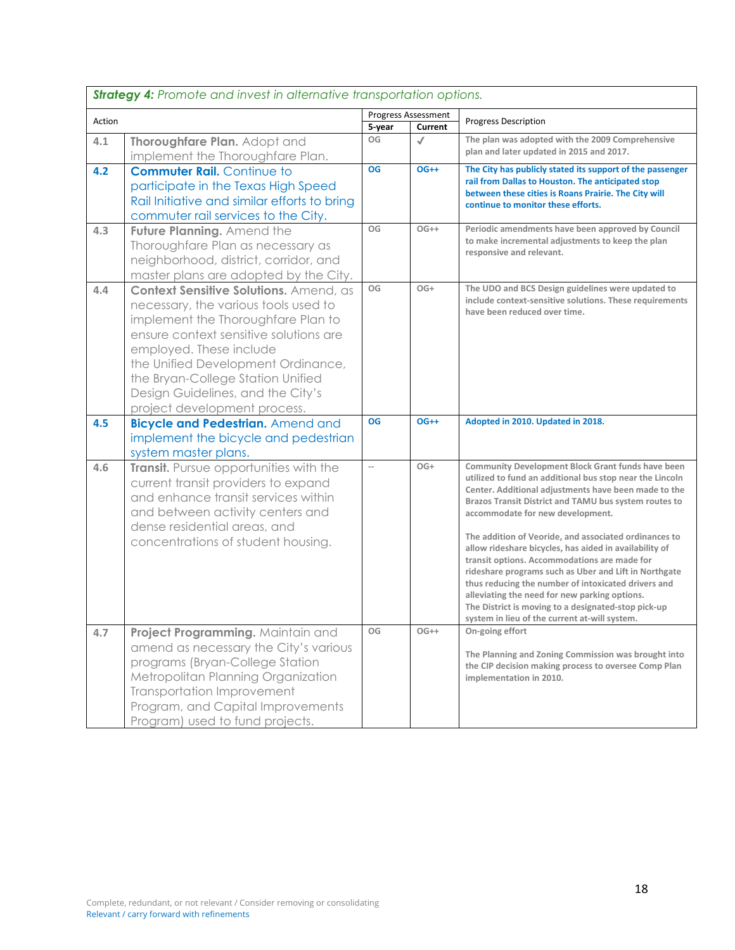|        | <b>Strategy 4:</b> Promote and invest in alternative transportation options.                                                                                                                                                                                                                                                              |                          |                            |                                                                                                                                                                                                                                                                                                                                                                                                                                                                                                                                                                                                                                                                                                                       |  |
|--------|-------------------------------------------------------------------------------------------------------------------------------------------------------------------------------------------------------------------------------------------------------------------------------------------------------------------------------------------|--------------------------|----------------------------|-----------------------------------------------------------------------------------------------------------------------------------------------------------------------------------------------------------------------------------------------------------------------------------------------------------------------------------------------------------------------------------------------------------------------------------------------------------------------------------------------------------------------------------------------------------------------------------------------------------------------------------------------------------------------------------------------------------------------|--|
| Action |                                                                                                                                                                                                                                                                                                                                           |                          | <b>Progress Assessment</b> | <b>Progress Description</b>                                                                                                                                                                                                                                                                                                                                                                                                                                                                                                                                                                                                                                                                                           |  |
|        |                                                                                                                                                                                                                                                                                                                                           | 5-year                   | Current                    |                                                                                                                                                                                                                                                                                                                                                                                                                                                                                                                                                                                                                                                                                                                       |  |
| 4.1    | Thoroughfare Plan. Adopt and<br>implement the Thoroughfare Plan.                                                                                                                                                                                                                                                                          | OG                       | $\checkmark$               | The plan was adopted with the 2009 Comprehensive<br>plan and later updated in 2015 and 2017.                                                                                                                                                                                                                                                                                                                                                                                                                                                                                                                                                                                                                          |  |
| 4.2    | <b>Commuter Rail.</b> Continue to<br>participate in the Texas High Speed<br>Rail Initiative and similar efforts to bring<br>commuter rail services to the City.                                                                                                                                                                           | <b>OG</b>                | $OG++$                     | The City has publicly stated its support of the passenger<br>rail from Dallas to Houston. The anticipated stop<br>between these cities is Roans Prairie. The City will<br>continue to monitor these efforts.                                                                                                                                                                                                                                                                                                                                                                                                                                                                                                          |  |
| 4.3    | Future Planning. Amend the<br>Thoroughfare Plan as necessary as<br>neighborhood, district, corridor, and<br>master plans are adopted by the City.                                                                                                                                                                                         | OG                       | $OG++$                     | Periodic amendments have been approved by Council<br>to make incremental adjustments to keep the plan<br>responsive and relevant.                                                                                                                                                                                                                                                                                                                                                                                                                                                                                                                                                                                     |  |
| 4.4    | Context Sensitive Solutions. Amend, as<br>necessary, the various tools used to<br>implement the Thoroughfare Plan to<br>ensure context sensitive solutions are<br>employed. These include<br>the Unified Development Ordinance,<br>the Bryan-College Station Unified<br>Design Guidelines, and the City's<br>project development process. | OG                       | $OG+$                      | The UDO and BCS Design guidelines were updated to<br>include context-sensitive solutions. These requirements<br>have been reduced over time.                                                                                                                                                                                                                                                                                                                                                                                                                                                                                                                                                                          |  |
| 4.5    | <b>Bicycle and Pedestrian.</b> Amend and                                                                                                                                                                                                                                                                                                  | <b>OG</b>                | $OG++$                     | Adopted in 2010. Updated in 2018.                                                                                                                                                                                                                                                                                                                                                                                                                                                                                                                                                                                                                                                                                     |  |
|        | implement the bicycle and pedestrian<br>system master plans.                                                                                                                                                                                                                                                                              |                          |                            |                                                                                                                                                                                                                                                                                                                                                                                                                                                                                                                                                                                                                                                                                                                       |  |
| 4.6    | Transit. Pursue opportunities with the<br>current transit providers to expand<br>and enhance transit services within<br>and between activity centers and<br>dense residential areas, and<br>concentrations of student housing.                                                                                                            | $\overline{\phantom{a}}$ | $OG+$                      | <b>Community Development Block Grant funds have been</b><br>utilized to fund an additional bus stop near the Lincoln<br>Center. Additional adjustments have been made to the<br>Brazos Transit District and TAMU bus system routes to<br>accommodate for new development.<br>The addition of Veoride, and associated ordinances to<br>allow rideshare bicycles, has aided in availability of<br>transit options. Accommodations are made for<br>rideshare programs such as Uber and Lift in Northgate<br>thus reducing the number of intoxicated drivers and<br>alleviating the need for new parking options.<br>The District is moving to a designated-stop pick-up<br>system in lieu of the current at-will system. |  |
| 4.7    | Project Programming. Maintain and<br>amend as necessary the City's various<br>programs (Bryan-College Station<br>Metropolitan Planning Organization<br><b>Transportation Improvement</b><br>Program, and Capital Improvements<br>Program) used to fund projects.                                                                          | OG                       | $OG++$                     | On-going effort<br>The Planning and Zoning Commission was brought into<br>the CIP decision making process to oversee Comp Plan<br>implementation in 2010.                                                                                                                                                                                                                                                                                                                                                                                                                                                                                                                                                             |  |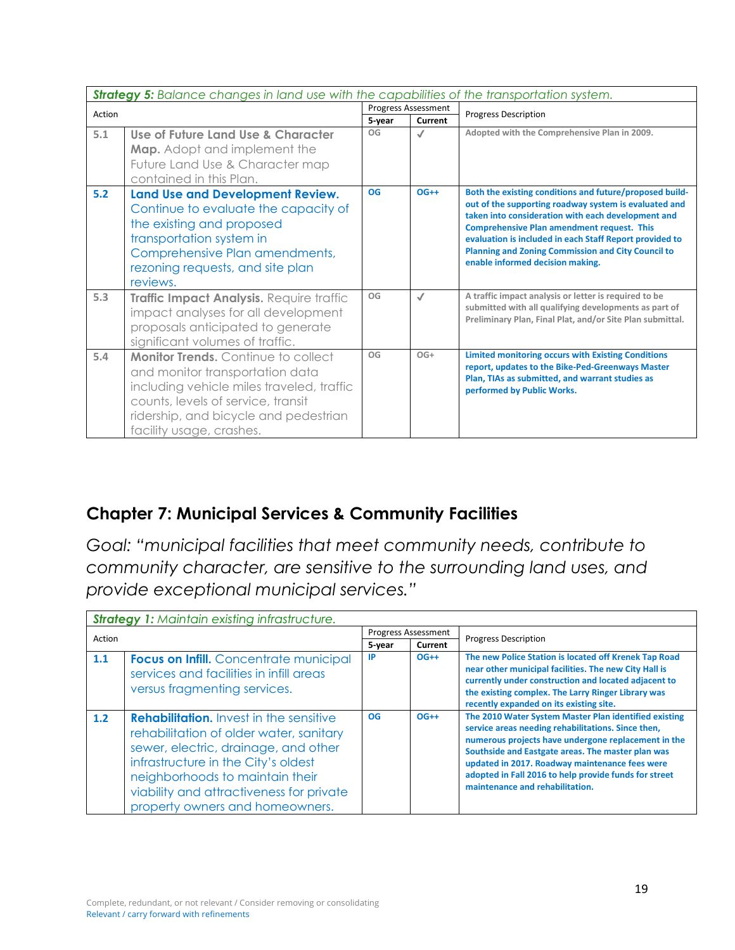|        | <b>Strategy 5:</b> Balance changes in land use with the capabilities of the transportation system.                                                                                                                                    |           |                                       |                                                                                                                                                                                                                                                                                                                                                                                         |
|--------|---------------------------------------------------------------------------------------------------------------------------------------------------------------------------------------------------------------------------------------|-----------|---------------------------------------|-----------------------------------------------------------------------------------------------------------------------------------------------------------------------------------------------------------------------------------------------------------------------------------------------------------------------------------------------------------------------------------------|
| Action |                                                                                                                                                                                                                                       | 5-year    | <b>Progress Assessment</b><br>Current | <b>Progress Description</b>                                                                                                                                                                                                                                                                                                                                                             |
| 5.1    | Use of Future Land Use & Character<br><b>Map.</b> Adopt and implement the<br>Future Land Use & Character map<br>contained in this Plan.                                                                                               | OG        | $\checkmark$                          | Adopted with the Comprehensive Plan in 2009.                                                                                                                                                                                                                                                                                                                                            |
| 5.2    | Land Use and Development Review.<br>Continue to evaluate the capacity of<br>the existing and proposed<br>transportation system in<br>Comprehensive Plan amendments,<br>rezoning requests, and site plan<br>reviews.                   | <b>OG</b> | $OG++$                                | Both the existing conditions and future/proposed build-<br>out of the supporting roadway system is evaluated and<br>taken into consideration with each development and<br><b>Comprehensive Plan amendment request. This</b><br>evaluation is included in each Staff Report provided to<br><b>Planning and Zoning Commission and City Council to</b><br>enable informed decision making. |
| 5.3    | Traffic Impact Analysis. Require traffic<br>impact analyses for all development<br>proposals anticipated to generate<br>significant volumes of traffic.                                                                               | OG        | $\checkmark$                          | A traffic impact analysis or letter is required to be<br>submitted with all qualifying developments as part of<br>Preliminary Plan, Final Plat, and/or Site Plan submittal.                                                                                                                                                                                                             |
| 5.4    | <b>Monitor Trends.</b> Continue to collect<br>and monitor transportation data<br>including vehicle miles traveled, traffic<br>counts, levels of service, transit<br>ridership, and bicycle and pedestrian<br>facility usage, crashes. | OG        | $OG+$                                 | Limited monitoring occurs with Existing Conditions<br>report, updates to the Bike-Ped-Greenways Master<br>Plan, TIAs as submitted, and warrant studies as<br>performed by Public Works.                                                                                                                                                                                                 |

### **Chapter 7: Municipal Services & Community Facilities**

*Goal: "municipal facilities that meet community needs, contribute to community character, are sensitive to the surrounding land uses, and provide exceptional municipal services."* 

|        | <b>Strategy 1: Maintain existing infrastructure.</b>                                                                                                                                                                                                                                       |           |                     |                                                                                                                                                                                                                                                                                                                                                                       |
|--------|--------------------------------------------------------------------------------------------------------------------------------------------------------------------------------------------------------------------------------------------------------------------------------------------|-----------|---------------------|-----------------------------------------------------------------------------------------------------------------------------------------------------------------------------------------------------------------------------------------------------------------------------------------------------------------------------------------------------------------------|
| Action |                                                                                                                                                                                                                                                                                            |           | Progress Assessment | <b>Progress Description</b>                                                                                                                                                                                                                                                                                                                                           |
|        |                                                                                                                                                                                                                                                                                            | 5-year    | Current             |                                                                                                                                                                                                                                                                                                                                                                       |
| 1.1    | <b>Focus on Infill.</b> Concentrate municipal<br>services and facilities in infill areas<br>versus fragmenting services.                                                                                                                                                                   | <b>IP</b> | $OG++$              | The new Police Station is located off Krenek Tap Road<br>near other municipal facilities. The new City Hall is<br>currently under construction and located adjacent to<br>the existing complex. The Larry Ringer Library was<br>recently expanded on its existing site.                                                                                               |
| 1.2    | <b>Rehabilitation.</b> Invest in the sensitive<br>rehabilitation of older water, sanitary<br>sewer, electric, drainage, and other<br>infrastructure in the City's oldest<br>neighborhoods to maintain their<br>viability and attractiveness for private<br>property owners and homeowners. | OG        | $OG++$              | The 2010 Water System Master Plan identified existing<br>service areas needing rehabilitations. Since then,<br>numerous projects have undergone replacement in the<br>Southside and Eastgate areas. The master plan was<br>updated in 2017. Roadway maintenance fees were<br>adopted in Fall 2016 to help provide funds for street<br>maintenance and rehabilitation. |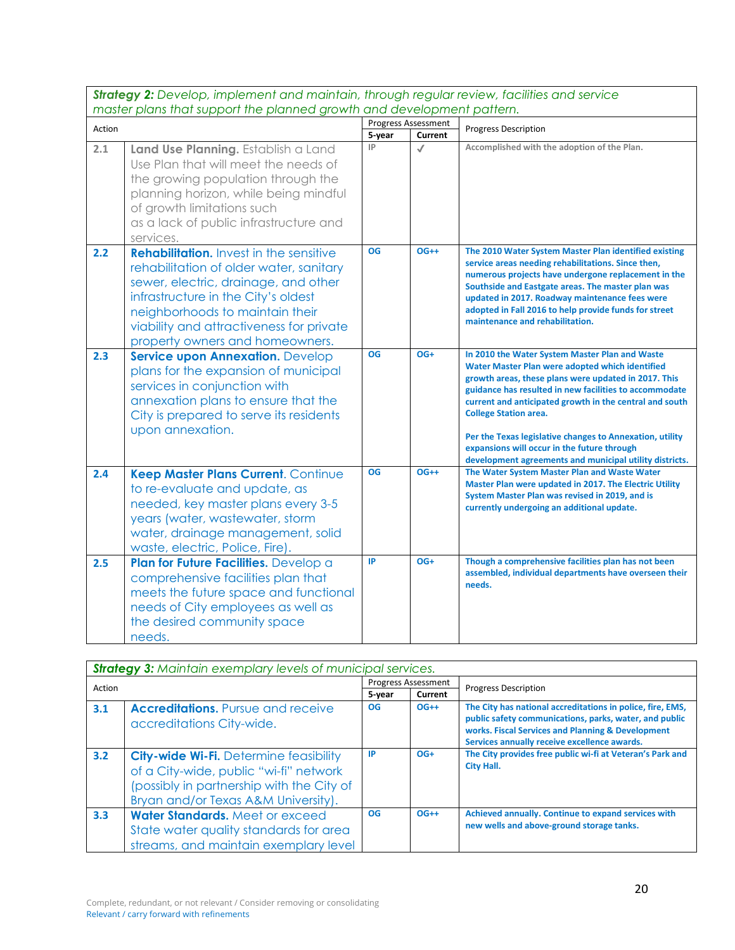*Strategy 2: Develop, implement and maintain, through regular review, facilities and service master plans that support the planned growth and development pattern.*

| matrix plans man support me planned growm and development panemi. |                                                                                                                                                                                                                                                                                            | <b>Progress Assessment</b> |              |                                                                                                                                                                                                                                                                                                                                                                                                                                                                                      |
|-------------------------------------------------------------------|--------------------------------------------------------------------------------------------------------------------------------------------------------------------------------------------------------------------------------------------------------------------------------------------|----------------------------|--------------|--------------------------------------------------------------------------------------------------------------------------------------------------------------------------------------------------------------------------------------------------------------------------------------------------------------------------------------------------------------------------------------------------------------------------------------------------------------------------------------|
| Action                                                            |                                                                                                                                                                                                                                                                                            | 5-year                     | Current      | <b>Progress Description</b>                                                                                                                                                                                                                                                                                                                                                                                                                                                          |
| 2.1                                                               | Land Use Planning. Establish a Land<br>Use Plan that will meet the needs of<br>the growing population through the<br>planning horizon, while being mindful<br>of growth limitations such<br>as a lack of public infrastructure and<br>services.                                            | IP                         | $\checkmark$ | Accomplished with the adoption of the Plan.                                                                                                                                                                                                                                                                                                                                                                                                                                          |
| 2.2                                                               | <b>Rehabilitation.</b> Invest in the sensitive<br>rehabilitation of older water, sanitary<br>sewer, electric, drainage, and other<br>infrastructure in the City's oldest<br>neighborhoods to maintain their<br>viability and attractiveness for private<br>property owners and homeowners. | <b>OG</b>                  | $OG++$       | The 2010 Water System Master Plan identified existing<br>service areas needing rehabilitations. Since then,<br>numerous projects have undergone replacement in the<br>Southside and Eastgate areas. The master plan was<br>updated in 2017. Roadway maintenance fees were<br>adopted in Fall 2016 to help provide funds for street<br>maintenance and rehabilitation.                                                                                                                |
| 2.3                                                               | <b>Service upon Annexation. Develop</b><br>plans for the expansion of municipal<br>services in conjunction with<br>annexation plans to ensure that the<br>City is prepared to serve its residents<br>upon annexation.                                                                      | <b>OG</b>                  | OG+          | In 2010 the Water System Master Plan and Waste<br>Water Master Plan were adopted which identified<br>growth areas, these plans were updated in 2017. This<br>guidance has resulted in new facilities to accommodate<br>current and anticipated growth in the central and south<br><b>College Station area.</b><br>Per the Texas legislative changes to Annexation, utility<br>expansions will occur in the future through<br>development agreements and municipal utility districts. |
| 2.4                                                               | Keep Master Plans Current. Continue<br>to re-evaluate and update, as<br>needed, key master plans every 3-5<br>years (water, wastewater, storm<br>water, drainage management, solid<br>waste, electric, Police, Fire).                                                                      | <b>OG</b>                  | $OG++$       | The Water System Master Plan and Waste Water<br>Master Plan were updated in 2017. The Electric Utility<br>System Master Plan was revised in 2019, and is<br>currently undergoing an additional update.                                                                                                                                                                                                                                                                               |
| 2.5                                                               | Plan for Future Facilities. Develop a<br>comprehensive facilities plan that<br>meets the future space and functional<br>needs of City employees as well as<br>the desired community space<br>needs.                                                                                        | IP                         | OG+          | Though a comprehensive facilities plan has not been<br>assembled, individual departments have overseen their<br>needs.                                                                                                                                                                                                                                                                                                                                                               |

|        | <b>Strategy 3: Maintain exemplary levels of municipal services.</b>                                                                                                         |           |                            |                                                                                                                                                                                                                           |  |
|--------|-----------------------------------------------------------------------------------------------------------------------------------------------------------------------------|-----------|----------------------------|---------------------------------------------------------------------------------------------------------------------------------------------------------------------------------------------------------------------------|--|
| Action |                                                                                                                                                                             |           | <b>Progress Assessment</b> | <b>Progress Description</b>                                                                                                                                                                                               |  |
|        |                                                                                                                                                                             | 5-year    | <b>Current</b>             |                                                                                                                                                                                                                           |  |
| 3.1    | <b>Accreditations.</b> Pursue and receive<br>accreditations City-wide.                                                                                                      | <b>OG</b> | $OG++$                     | The City has national accreditations in police, fire, EMS,<br>public safety communications, parks, water, and public<br>works. Fiscal Services and Planning & Development<br>Services annually receive excellence awards. |  |
| 3.2    | <b>City-wide Wi-Fi.</b> Determine feasibility<br>of a City-wide, public "wi-fi" network<br>(possibly in partnership with the City of<br>Bryan and/or Texas A&M University). | <b>IP</b> | $OG+$                      | The City provides free public wi-fi at Veteran's Park and<br><b>City Hall.</b>                                                                                                                                            |  |
| 3.3    | Water Standards, Meet or exceed<br>State water quality standards for area<br>streams, and maintain exemplary level                                                          | <b>OG</b> | $OG++$                     | Achieved annually. Continue to expand services with<br>new wells and above-ground storage tanks.                                                                                                                          |  |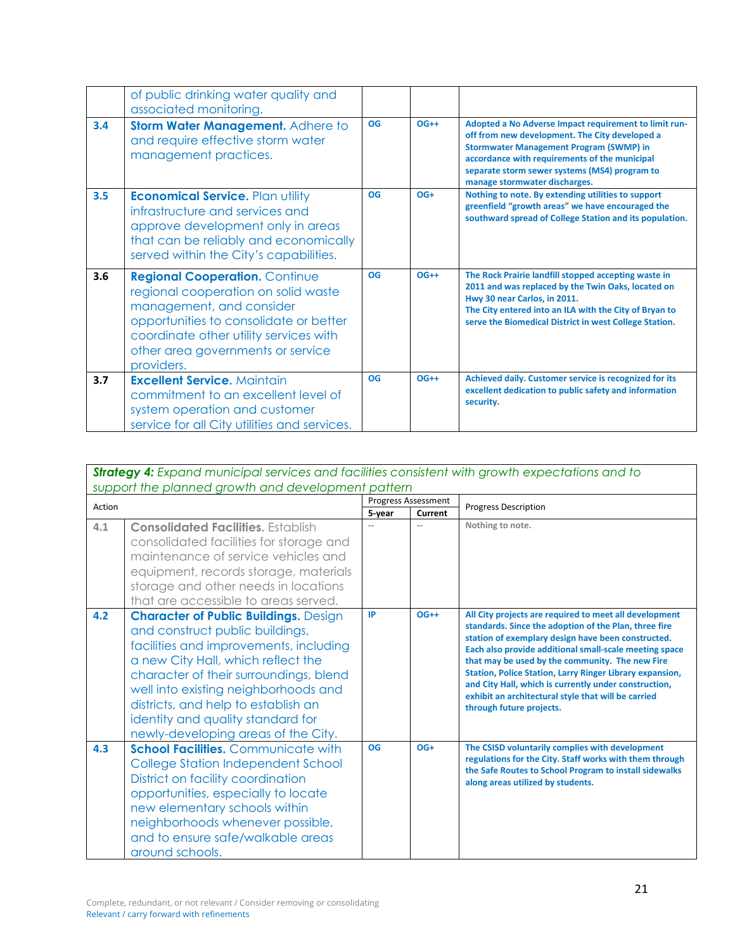|     | of public drinking water quality and<br>associated monitoring.                                                                                                                                                                                  |           |        |                                                                                                                                                                                                                                                                                              |
|-----|-------------------------------------------------------------------------------------------------------------------------------------------------------------------------------------------------------------------------------------------------|-----------|--------|----------------------------------------------------------------------------------------------------------------------------------------------------------------------------------------------------------------------------------------------------------------------------------------------|
| 3.4 | Storm Water Management. Adhere to<br>and require effective storm water<br>management practices.                                                                                                                                                 | <b>OG</b> | $OG++$ | Adopted a No Adverse Impact requirement to limit run-<br>off from new development. The City developed a<br><b>Stormwater Management Program (SWMP) in</b><br>accordance with requirements of the municipal<br>separate storm sewer systems (MS4) program to<br>manage stormwater discharges. |
| 3.5 | <b>Economical Service. Plan utility</b><br>infrastructure and services and<br>approve development only in areas<br>that can be reliably and economically<br>served within the City's capabilities.                                              | <b>OG</b> | $OG+$  | Nothing to note. By extending utilities to support<br>greenfield "growth areas" we have encouraged the<br>southward spread of College Station and its population.                                                                                                                            |
| 3.6 | <b>Regional Cooperation. Continue</b><br>regional cooperation on solid waste<br>management, and consider<br>opportunities to consolidate or better<br>coordinate other utility services with<br>other area governments or service<br>providers. | <b>OG</b> | $OG++$ | The Rock Prairie landfill stopped accepting waste in<br>2011 and was replaced by the Twin Oaks, located on<br>Hwy 30 near Carlos, in 2011.<br>The City entered into an ILA with the City of Bryan to<br>serve the Biomedical District in west College Station.                               |
| 3.7 | <b>Excellent Service. Maintain</b><br>commitment to an excellent level of<br>system operation and customer<br>service for all City utilities and services.                                                                                      | <b>OG</b> | $OG++$ | Achieved daily. Customer service is recognized for its<br>excellent dedication to public safety and information<br>security.                                                                                                                                                                 |

| <b>Strategy 4:</b> Expand municipal services and facilities consistent with growth expectations and to |  |  |  |  |
|--------------------------------------------------------------------------------------------------------|--|--|--|--|
| support the planned growth and development pattern                                                     |  |  |  |  |
|                                                                                                        |  |  |  |  |

| Action |                                                                                                                                                                                                                                                                                                                                                                      | <b>Progress Assessment</b> |         | <b>Progress Description</b>                                                                                                                                                                                                                                                                                                                                                                                                                                                                       |
|--------|----------------------------------------------------------------------------------------------------------------------------------------------------------------------------------------------------------------------------------------------------------------------------------------------------------------------------------------------------------------------|----------------------------|---------|---------------------------------------------------------------------------------------------------------------------------------------------------------------------------------------------------------------------------------------------------------------------------------------------------------------------------------------------------------------------------------------------------------------------------------------------------------------------------------------------------|
|        |                                                                                                                                                                                                                                                                                                                                                                      | 5-year                     | Current |                                                                                                                                                                                                                                                                                                                                                                                                                                                                                                   |
| 4.1    | <b>Consolidated Facilities.</b> Establish<br>consolidated facilities for storage and<br>maintenance of service vehicles and<br>equipment, records storage, materials<br>storage and other needs in locations<br>that are accessible to areas served.                                                                                                                 |                            |         | Nothing to note.                                                                                                                                                                                                                                                                                                                                                                                                                                                                                  |
| 4.2    | <b>Character of Public Buildings. Design</b><br>and construct public buildings,<br>facilities and improvements, including<br>a new City Hall, which reflect the<br>character of their surroundings, blend<br>well into existing neighborhoods and<br>districts, and help to establish an<br>identity and quality standard for<br>newly-developing areas of the City. | IP                         | $OG++$  | All City projects are required to meet all development<br>standards. Since the adoption of the Plan, three fire<br>station of exemplary design have been constructed.<br>Each also provide additional small-scale meeting space<br>that may be used by the community. The new Fire<br><b>Station, Police Station, Larry Ringer Library expansion,</b><br>and City Hall, which is currently under construction,<br>exhibit an architectural style that will be carried<br>through future projects. |
| 4.3    | <b>School Facilities.</b> Communicate with<br>College Station Independent School<br>District on facility coordination<br>opportunities, especially to locate<br>new elementary schools within<br>neighborhoods whenever possible,<br>and to ensure safe/walkable areas<br>around schools.                                                                            | <b>OG</b>                  | $OG+$   | The CSISD voluntarily complies with development<br>regulations for the City. Staff works with them through<br>the Safe Routes to School Program to install sidewalks<br>along areas utilized by students.                                                                                                                                                                                                                                                                                         |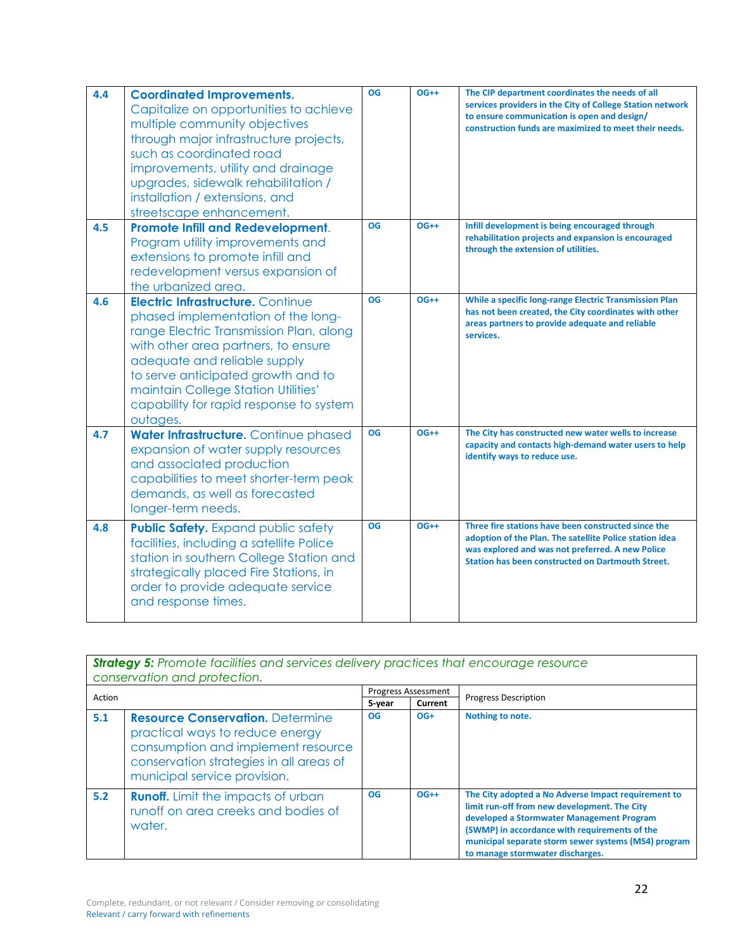| 4.4 | <b>Coordinated Improvements.</b><br>Capitalize on opportunities to achieve<br>multiple community objectives<br>through major infrastructure projects,<br>such as coordinated road<br>improvements, utility and drainage<br>upgrades, sidewalk rehabilitation /<br>installation / extensions, and<br>streetscape enhancement.         | OG        | $OG++$ | The CIP department coordinates the needs of all<br>services providers in the City of College Station network<br>to ensure communication is open and design/<br>construction funds are maximized to meet their needs.    |
|-----|--------------------------------------------------------------------------------------------------------------------------------------------------------------------------------------------------------------------------------------------------------------------------------------------------------------------------------------|-----------|--------|-------------------------------------------------------------------------------------------------------------------------------------------------------------------------------------------------------------------------|
| 4.5 | <b>Promote Infill and Redevelopment.</b><br>Program utility improvements and<br>extensions to promote infill and<br>redevelopment versus expansion of<br>the urbanized area.                                                                                                                                                         | OG        | $OG++$ | Infill development is being encouraged through<br>rehabilitation projects and expansion is encouraged<br>through the extension of utilities.                                                                            |
| 4.6 | <b>Electric Infrastructure. Continue</b><br>phased implementation of the long-<br>range Electric Transmission Plan, along<br>with other area partners, to ensure<br>adequate and reliable supply<br>to serve anticipated growth and to<br>maintain College Station Utilities'<br>capability for rapid response to system<br>outages. | OG        | $OG++$ | While a specific long-range Electric Transmission Plan<br>has not been created, the City coordinates with other<br>areas partners to provide adequate and reliable<br>services.                                         |
| 4.7 | Water Infrastructure. Continue phased<br>expansion of water supply resources<br>and associated production<br>capabilities to meet shorter-term peak<br>demands, as well as forecasted<br>longer-term needs.                                                                                                                          | OG        | $OG++$ | The City has constructed new water wells to increase<br>capacity and contacts high-demand water users to help<br>identify ways to reduce use.                                                                           |
| 4.8 | <b>Public Safety.</b> Expand public safety<br>facilities, including a satellite Police<br>station in southern College Station and<br>strategically placed Fire Stations, in<br>order to provide adequate service<br>and response times.                                                                                              | <b>OG</b> | $OG++$ | Three fire stations have been constructed since the<br>adoption of the Plan. The satellite Police station idea<br>was explored and was not preferred. A new Police<br>Station has been constructed on Dartmouth Street. |

|        | <b>Strategy 5:</b> Promote facilities and services delivery practices that encourage resource<br>conservation and protection.                                                               |           |                            |                                                                                                                                                                                                                                                                                               |  |
|--------|---------------------------------------------------------------------------------------------------------------------------------------------------------------------------------------------|-----------|----------------------------|-----------------------------------------------------------------------------------------------------------------------------------------------------------------------------------------------------------------------------------------------------------------------------------------------|--|
| Action |                                                                                                                                                                                             |           | <b>Progress Assessment</b> | <b>Progress Description</b>                                                                                                                                                                                                                                                                   |  |
|        |                                                                                                                                                                                             | 5-year    | Current                    |                                                                                                                                                                                                                                                                                               |  |
| 5.1    | <b>Resource Conservation.</b> Determine<br>practical ways to reduce energy<br>consumption and implement resource<br>conservation strategies in all areas of<br>municipal service provision. | <b>OG</b> | $OG+$                      | Nothing to note.                                                                                                                                                                                                                                                                              |  |
| 5.2    | <b>Runoff.</b> Limit the impacts of urban<br>runoff on area creeks and bodies of<br>water.                                                                                                  | <b>OG</b> | $OG++$                     | The City adopted a No Adverse Impact requirement to<br>limit run-off from new development. The City<br>developed a Stormwater Management Program<br>(SWMP) in accordance with requirements of the<br>municipal separate storm sewer systems (MS4) program<br>to manage stormwater discharges. |  |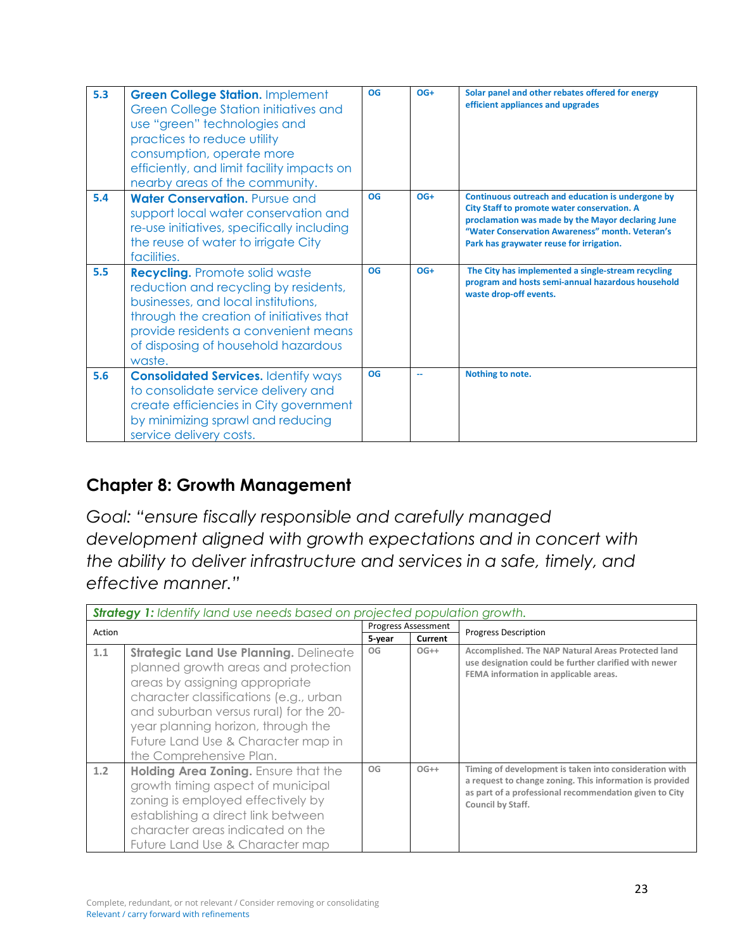| 5.3 | <b>Green College Station. Implement</b><br>Green College Station initiatives and<br>use "green" technologies and<br>practices to reduce utility<br>consumption, operate more<br>efficiently, and limit facility impacts on<br>nearby areas of the community. | <b>OG</b> | $OG+$ | Solar panel and other rebates offered for energy<br>efficient appliances and upgrades                                                                                                                                                                |
|-----|--------------------------------------------------------------------------------------------------------------------------------------------------------------------------------------------------------------------------------------------------------------|-----------|-------|------------------------------------------------------------------------------------------------------------------------------------------------------------------------------------------------------------------------------------------------------|
| 5.4 | Water Conservation. Pursue and<br>support local water conservation and<br>re-use initiatives, specifically including<br>the reuse of water to irrigate City<br>facilities.                                                                                   | <b>OG</b> | $OG+$ | Continuous outreach and education is undergone by<br>City Staff to promote water conservation. A<br>proclamation was made by the Mayor declaring June<br>"Water Conservation Awareness" month. Veteran's<br>Park has graywater reuse for irrigation. |
| 5.5 | <b>Recycling.</b> Promote solid waste<br>reduction and recycling by residents,<br>businesses, and local institutions,<br>through the creation of initiatives that<br>provide residents a convenient means<br>of disposing of household hazardous<br>waste.   | <b>OG</b> | $OG+$ | The City has implemented a single-stream recycling<br>program and hosts semi-annual hazardous household<br>waste drop-off events.                                                                                                                    |
| 5.6 | <b>Consolidated Services. Identify ways</b><br>to consolidate service delivery and<br>create efficiencies in City government<br>by minimizing sprawl and reducing<br>service delivery costs.                                                                 | <b>OG</b> | --    | Nothing to note.                                                                                                                                                                                                                                     |

### **Chapter 8: Growth Management**

*Goal: "ensure fiscally responsible and carefully managed development aligned with growth expectations and in concert with the ability to deliver infrastructure and services in a safe, timely, and effective manner."* 

|        | <b>Strategy 1:</b> Identify land use needs based on projected population growth.                                                                                                                                                                                                                           |        |                            |                                                                                                                                                                                                   |  |
|--------|------------------------------------------------------------------------------------------------------------------------------------------------------------------------------------------------------------------------------------------------------------------------------------------------------------|--------|----------------------------|---------------------------------------------------------------------------------------------------------------------------------------------------------------------------------------------------|--|
| Action |                                                                                                                                                                                                                                                                                                            |        | <b>Progress Assessment</b> | <b>Progress Description</b>                                                                                                                                                                       |  |
|        |                                                                                                                                                                                                                                                                                                            | 5-year | Current                    |                                                                                                                                                                                                   |  |
| 1.1    | Strategic Land Use Planning. Delineate<br>planned growth areas and protection<br>areas by assigning appropriate<br>character classifications (e.g., urban<br>and suburban versus rural) for the 20-<br>year planning horizon, through the<br>Future Land Use & Character map in<br>the Comprehensive Plan. | OG     | $OG++$                     | Accomplished. The NAP Natural Areas Protected land<br>use designation could be further clarified with newer<br>FEMA information in applicable areas.                                              |  |
| 1.2    | Holding Area Zoning. Ensure that the<br>growth timing aspect of municipal<br>zoning is employed effectively by<br>establishing a direct link between<br>character areas indicated on the<br>Future Land Use & Character map                                                                                | OG     | $OG++$                     | Timing of development is taken into consideration with<br>a request to change zoning. This information is provided<br>as part of a professional recommendation given to City<br>Council by Staff. |  |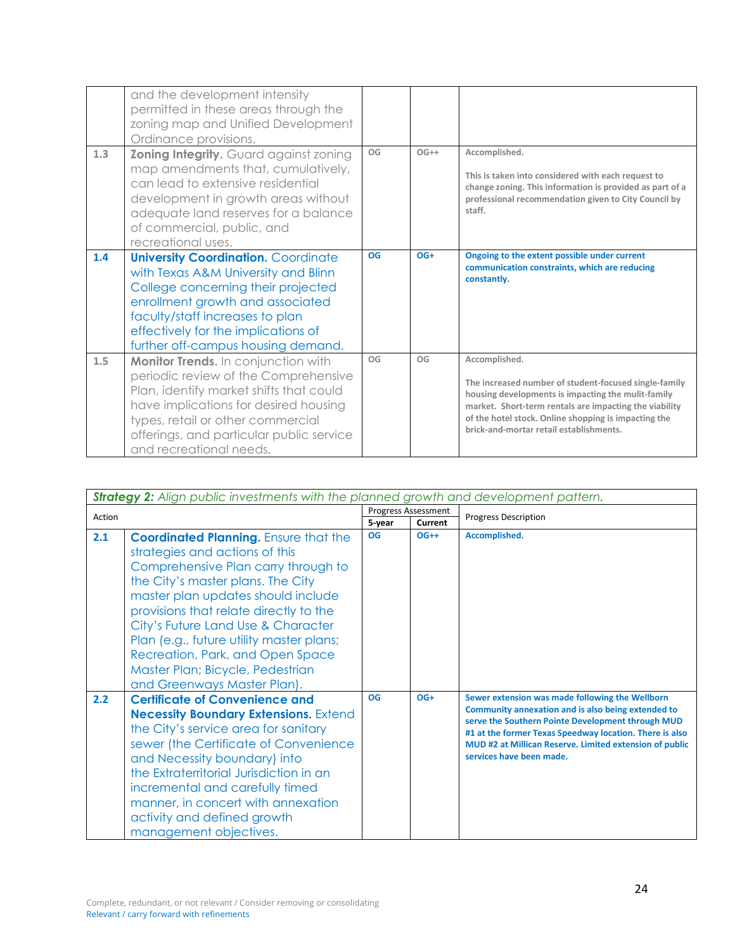|     | and the development intensity<br>permitted in these areas through the<br>zoning map and Unified Development<br>Ordinance provisions.                                                                                                                                        |           |        |                                                                                                                                                                                                                                                                                           |
|-----|-----------------------------------------------------------------------------------------------------------------------------------------------------------------------------------------------------------------------------------------------------------------------------|-----------|--------|-------------------------------------------------------------------------------------------------------------------------------------------------------------------------------------------------------------------------------------------------------------------------------------------|
| 1.3 | <b>Zoning Integrity.</b> Guard against zoning<br>map amendments that, cumulatively,<br>can lead to extensive residential<br>development in growth areas without<br>adequate land reserves for a balance<br>of commercial, public, and<br>recreational uses.                 | OG        | $OG++$ | Accomplished.<br>This is taken into considered with each request to<br>change zoning. This information is provided as part of a<br>professional recommendation given to City Council by<br>staff.                                                                                         |
| 1.4 | <b>University Coordination. Coordinate</b><br>with Texas A&M University and Blinn<br>College concerning their projected<br>enrollment growth and associated<br>faculty/staff increases to plan<br>effectively for the implications of<br>further off-campus housing demand. | <b>OG</b> | $OG+$  | Ongoing to the extent possible under current<br>communication constraints, which are reducing<br>constantly.                                                                                                                                                                              |
| 1.5 | Monitor Trends. In conjunction with<br>periodic review of the Comprehensive<br>Plan, identify market shifts that could<br>have implications for desired housing<br>types, retail or other commercial<br>offerings, and particular public service<br>and recreational needs. | OG        | OG     | Accomplished.<br>The increased number of student-focused single-family<br>housing developments is impacting the mulit-family<br>market. Short-term rentals are impacting the viability<br>of the hotel stock. Online shopping is impacting the<br>brick-and-mortar retail establishments. |

|        | <b>Strategy 2:</b> Align public investments with the planned growth and development pattern.                                                                                                                                                                                                                                                                                                                                        |                            |         |                                                                                                                                                                                                                                                                                                              |  |  |
|--------|-------------------------------------------------------------------------------------------------------------------------------------------------------------------------------------------------------------------------------------------------------------------------------------------------------------------------------------------------------------------------------------------------------------------------------------|----------------------------|---------|--------------------------------------------------------------------------------------------------------------------------------------------------------------------------------------------------------------------------------------------------------------------------------------------------------------|--|--|
| Action |                                                                                                                                                                                                                                                                                                                                                                                                                                     | <b>Progress Assessment</b> |         | <b>Progress Description</b>                                                                                                                                                                                                                                                                                  |  |  |
|        |                                                                                                                                                                                                                                                                                                                                                                                                                                     | 5-year                     | Current |                                                                                                                                                                                                                                                                                                              |  |  |
| 2.1    | <b>Coordinated Planning.</b> Ensure that the<br>strategies and actions of this<br>Comprehensive Plan carry through to<br>the City's master plans. The City<br>master plan updates should include<br>provisions that relate directly to the<br>City's Future Land Use & Character<br>Plan (e.g., future utility master plans;<br>Recreation, Park, and Open Space<br>Master Plan; Bicycle, Pedestrian<br>and Greenways Master Plan). | <b>OG</b>                  | $OG++$  | Accomplished.                                                                                                                                                                                                                                                                                                |  |  |
| 2.2    | <b>Certificate of Convenience and</b><br><b>Necessity Boundary Extensions. Extend</b><br>the City's service area for sanitary<br>sewer (the Certificate of Convenience<br>and Necessity boundary) into<br>the Extraterritorial Jurisdiction in an<br>incremental and carefully timed<br>manner, in concert with annexation<br>activity and defined growth<br>management objectives.                                                 | OG                         | $OG+$   | Sewer extension was made following the Wellborn<br>Community annexation and is also being extended to<br>serve the Southern Pointe Development through MUD<br>#1 at the former Texas Speedway location. There is also<br>MUD #2 at Millican Reserve. Limited extension of public<br>services have been made. |  |  |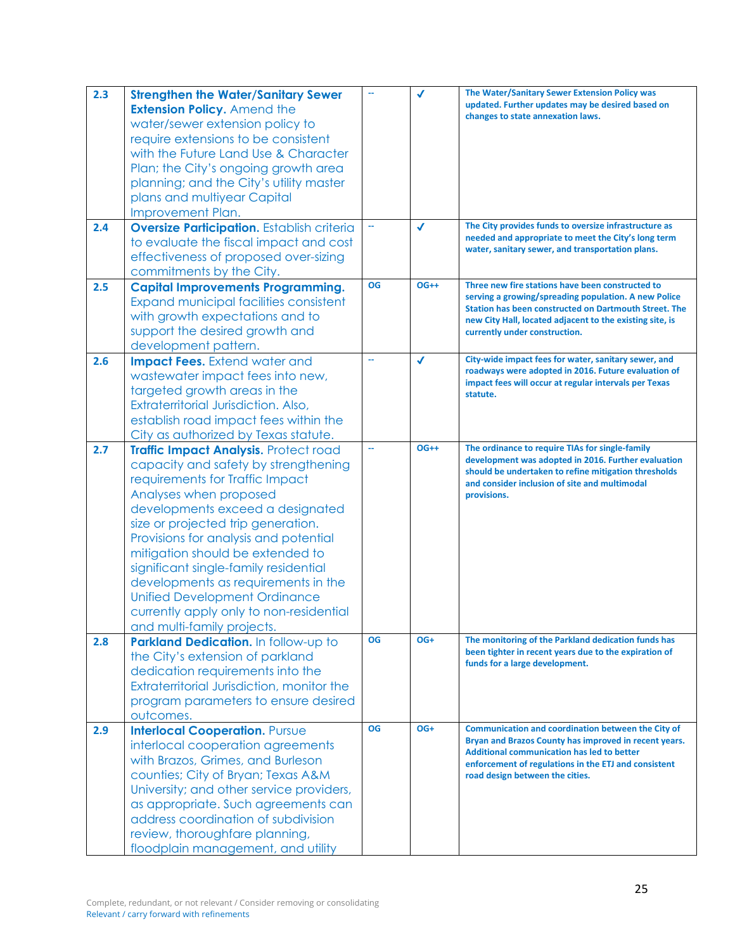| 2.3 | <b>Strengthen the Water/Sanitary Sewer</b>        |               | $\checkmark$ | The Water/Sanitary Sewer Extension Policy was                                                                |
|-----|---------------------------------------------------|---------------|--------------|--------------------------------------------------------------------------------------------------------------|
|     | <b>Extension Policy. Amend the</b>                |               |              | updated. Further updates may be desired based on                                                             |
|     | water/sewer extension policy to                   |               |              | changes to state annexation laws.                                                                            |
|     | require extensions to be consistent               |               |              |                                                                                                              |
|     | with the Future Land Use & Character              |               |              |                                                                                                              |
|     |                                                   |               |              |                                                                                                              |
|     | Plan; the City's ongoing growth area              |               |              |                                                                                                              |
|     | planning; and the City's utility master           |               |              |                                                                                                              |
|     | plans and multiyear Capital                       |               |              |                                                                                                              |
|     | Improvement Plan.                                 |               |              |                                                                                                              |
| 2.4 | <b>Oversize Participation.</b> Establish criteria | μ,            | $\checkmark$ | The City provides funds to oversize infrastructure as                                                        |
|     | to evaluate the fiscal impact and cost            |               |              | needed and appropriate to meet the City's long term<br>water, sanitary sewer, and transportation plans.      |
|     | effectiveness of proposed over-sizing             |               |              |                                                                                                              |
|     | commitments by the City.                          |               |              |                                                                                                              |
| 2.5 | <b>Capital Improvements Programming.</b>          | <b>OG</b>     | $OG++$       | Three new fire stations have been constructed to                                                             |
|     | <b>Expand municipal facilities consistent</b>     |               |              | serving a growing/spreading population. A new Police                                                         |
|     | with growth expectations and to                   |               |              | Station has been constructed on Dartmouth Street. The                                                        |
|     | support the desired growth and                    |               |              | new City Hall, located adjacent to the existing site, is<br>currently under construction.                    |
|     |                                                   |               |              |                                                                                                              |
|     | development pattern.                              | $\rightarrow$ | $\checkmark$ | City-wide impact fees for water, sanitary sewer, and                                                         |
| 2.6 | <b>Impact Fees.</b> Extend water and              |               |              | roadways were adopted in 2016. Future evaluation of                                                          |
|     | wastewater impact fees into new,                  |               |              | impact fees will occur at regular intervals per Texas                                                        |
|     | targeted growth areas in the                      |               |              | statute.                                                                                                     |
|     | Extraterritorial Jurisdiction. Also,              |               |              |                                                                                                              |
|     | establish road impact fees within the             |               |              |                                                                                                              |
|     | City as authorized by Texas statute.              |               |              |                                                                                                              |
| 2.7 | Traffic Impact Analysis. Protect road             | ц.            | $OG++$       | The ordinance to require TIAs for single-family                                                              |
|     | capacity and safety by strengthening              |               |              | development was adopted in 2016. Further evaluation                                                          |
|     | requirements for Traffic Impact                   |               |              | should be undertaken to refine mitigation thresholds<br>and consider inclusion of site and multimodal        |
|     | Analyses when proposed                            |               |              | provisions.                                                                                                  |
|     | developments exceed a designated                  |               |              |                                                                                                              |
|     | size or projected trip generation.                |               |              |                                                                                                              |
|     | Provisions for analysis and potential             |               |              |                                                                                                              |
|     | mitigation should be extended to                  |               |              |                                                                                                              |
|     | significant single-family residential             |               |              |                                                                                                              |
|     | developments as requirements in the               |               |              |                                                                                                              |
|     | <b>Unified Development Ordinance</b>              |               |              |                                                                                                              |
|     |                                                   |               |              |                                                                                                              |
|     | currently apply only to non-residential           |               |              |                                                                                                              |
|     | and multi-family projects.                        |               |              |                                                                                                              |
| 2.8 | Parkland Dedication. In follow-up to              | <b>OG</b>     | OG+          | The monitoring of the Parkland dedication funds has<br>been tighter in recent years due to the expiration of |
|     | the City's extension of parkland                  |               |              | funds for a large development.                                                                               |
|     | dedication requirements into the                  |               |              |                                                                                                              |
|     | Extraterritorial Jurisdiction, monitor the        |               |              |                                                                                                              |
|     | program parameters to ensure desired              |               |              |                                                                                                              |
|     | outcomes.                                         |               |              |                                                                                                              |
| 2.9 | <b>Interlocal Cooperation. Pursue</b>             | <b>OG</b>     | OG+          | Communication and coordination between the City of                                                           |
|     | interlocal cooperation agreements                 |               |              | Bryan and Brazos County has improved in recent years.                                                        |
|     | with Brazos, Grimes, and Burleson                 |               |              | <b>Additional communication has led to better</b><br>enforcement of regulations in the ETJ and consistent    |
|     | counties; City of Bryan; Texas A&M                |               |              | road design between the cities.                                                                              |
|     | University; and other service providers,          |               |              |                                                                                                              |
|     | as appropriate. Such agreements can               |               |              |                                                                                                              |
|     | address coordination of subdivision               |               |              |                                                                                                              |
|     | review, thoroughfare planning,                    |               |              |                                                                                                              |
|     |                                                   |               |              |                                                                                                              |
|     | floodplain management, and utility                |               |              |                                                                                                              |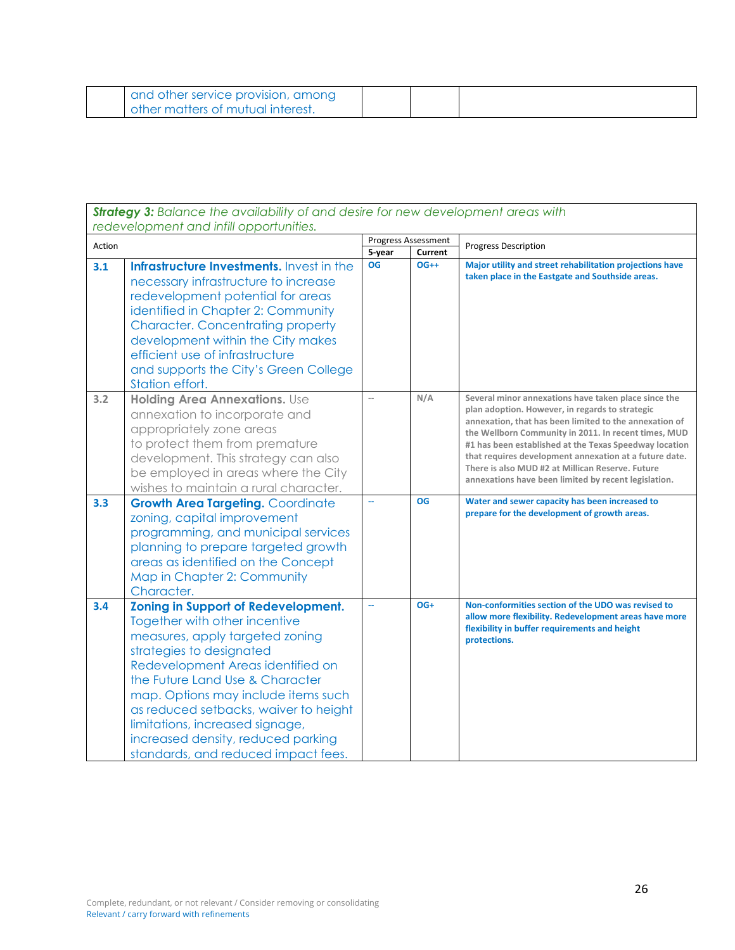| and other service provision, among |  |  |
|------------------------------------|--|--|
| other matters of mutual interest.  |  |  |

| <b>Strategy 3:</b> Balance the availability of and desire for new development areas with |                                                                                                                                                                                                                                                                                                                                                                                                                    |                |                                       |                                                                                                                                                                                                                                                                                                                                                                                                                                                           |  |  |
|------------------------------------------------------------------------------------------|--------------------------------------------------------------------------------------------------------------------------------------------------------------------------------------------------------------------------------------------------------------------------------------------------------------------------------------------------------------------------------------------------------------------|----------------|---------------------------------------|-----------------------------------------------------------------------------------------------------------------------------------------------------------------------------------------------------------------------------------------------------------------------------------------------------------------------------------------------------------------------------------------------------------------------------------------------------------|--|--|
|                                                                                          | redevelopment and infill opportunities.                                                                                                                                                                                                                                                                                                                                                                            |                |                                       |                                                                                                                                                                                                                                                                                                                                                                                                                                                           |  |  |
| Action                                                                                   |                                                                                                                                                                                                                                                                                                                                                                                                                    |                | <b>Progress Assessment</b><br>Current | <b>Progress Description</b>                                                                                                                                                                                                                                                                                                                                                                                                                               |  |  |
| 3.1                                                                                      | Infrastructure Investments. Invest in the<br>necessary infrastructure to increase<br>redevelopment potential for areas<br>identified in Chapter 2: Community<br><b>Character. Concentrating property</b><br>development within the City makes<br>efficient use of infrastructure<br>and supports the City's Green College<br>Station effort.                                                                       | 5-year<br>OG   | $OG++$                                | Major utility and street rehabilitation projections have<br>taken place in the Eastgate and Southside areas.                                                                                                                                                                                                                                                                                                                                              |  |  |
| 3.2                                                                                      | <b>Holding Area Annexations. Use</b><br>annexation to incorporate and<br>appropriately zone areas<br>to protect them from premature<br>development. This strategy can also<br>be employed in areas where the City<br>wishes to maintain a rural character.                                                                                                                                                         | $\overline{a}$ | N/A                                   | Several minor annexations have taken place since the<br>plan adoption. However, in regards to strategic<br>annexation, that has been limited to the annexation of<br>the Wellborn Community in 2011. In recent times, MUD<br>#1 has been established at the Texas Speedway location<br>that requires development annexation at a future date.<br>There is also MUD #2 at Millican Reserve. Future<br>annexations have been limited by recent legislation. |  |  |
| 3.3                                                                                      | <b>Growth Area Targeting. Coordinate</b><br>zoning, capital improvement<br>programming, and municipal services<br>planning to prepare targeted growth<br>areas as identified on the Concept<br>Map in Chapter 2: Community<br>Character.                                                                                                                                                                           | u.             | <b>OG</b>                             | Water and sewer capacity has been increased to<br>prepare for the development of growth areas.                                                                                                                                                                                                                                                                                                                                                            |  |  |
| 3.4                                                                                      | <b>Zoning in Support of Redevelopment.</b><br>Together with other incentive<br>measures, apply targeted zoning<br>strategies to designated<br>Redevelopment Areas identified on<br>the Future Land Use & Character<br>map. Options may include items such<br>as reduced setbacks, waiver to height<br>limitations, increased signage,<br>increased density, reduced parking<br>standards, and reduced impact fees. |                | $OG+$                                 | Non-conformities section of the UDO was revised to<br>allow more flexibility. Redevelopment areas have more<br>flexibility in buffer requirements and height<br>protections.                                                                                                                                                                                                                                                                              |  |  |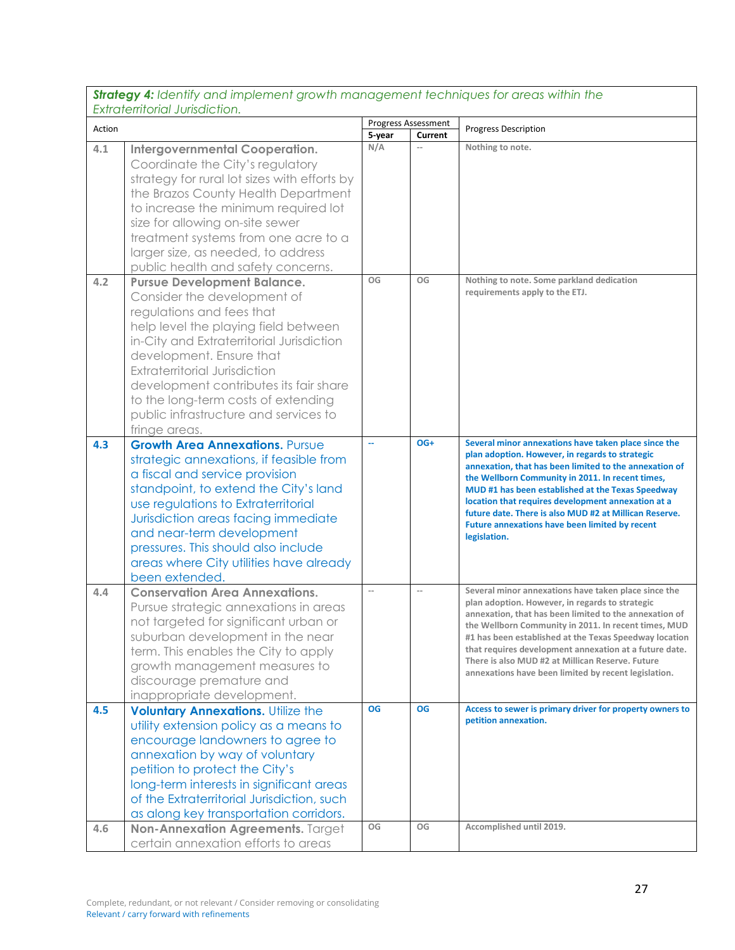*Strategy 4: Identify and implement growth management techniques for areas within the Extraterritorial Jurisdiction.*

|            | <u>EXINICINIUNUI JUNIJULIUN.</u>                                                                                                                                                                                                                                                                                                                                                                   |                          | Progress Assessment |                                                                                                                                                                                                                                                                                                                                                                                                                                                              |
|------------|----------------------------------------------------------------------------------------------------------------------------------------------------------------------------------------------------------------------------------------------------------------------------------------------------------------------------------------------------------------------------------------------------|--------------------------|---------------------|--------------------------------------------------------------------------------------------------------------------------------------------------------------------------------------------------------------------------------------------------------------------------------------------------------------------------------------------------------------------------------------------------------------------------------------------------------------|
| Action     |                                                                                                                                                                                                                                                                                                                                                                                                    | 5-year                   | Current             | <b>Progress Description</b>                                                                                                                                                                                                                                                                                                                                                                                                                                  |
| 4.1        | <b>Intergovernmental Cooperation.</b><br>Coordinate the City's regulatory<br>strategy for rural lot sizes with efforts by<br>the Brazos County Health Department<br>to increase the minimum required lot<br>size for allowing on-site sewer<br>treatment systems from one acre to a<br>larger size, as needed, to address<br>public health and safety concerns.                                    | N/A                      | $\sim$              | Nothing to note.                                                                                                                                                                                                                                                                                                                                                                                                                                             |
| 4.2        | <b>Pursue Development Balance.</b><br>Consider the development of<br>regulations and fees that<br>help level the playing field between<br>in-City and Extraterritorial Jurisdiction<br>development. Ensure that<br><b>Extraterritorial Jurisdiction</b><br>development contributes its fair share<br>to the long-term costs of extending<br>public infrastructure and services to<br>fringe areas. | OG                       | OG                  | Nothing to note. Some parkland dedication<br>requirements apply to the ETJ.                                                                                                                                                                                                                                                                                                                                                                                  |
| 4.3        | <b>Growth Area Annexations. Pursue</b><br>strategic annexations, if feasible from<br>a fiscal and service provision<br>standpoint, to extend the City's land<br>use regulations to Extraterritorial<br>Jurisdiction areas facing immediate<br>and near-term development<br>pressures. This should also include<br>areas where City utilities have already<br>been extended.                        | u.                       | OG+                 | Several minor annexations have taken place since the<br>plan adoption. However, in regards to strategic<br>annexation, that has been limited to the annexation of<br>the Wellborn Community in 2011. In recent times,<br>MUD #1 has been established at the Texas Speedway<br>location that requires development annexation at a<br>future date. There is also MUD #2 at Millican Reserve.<br>Future annexations have been limited by recent<br>legislation. |
| 4.4        | <b>Conservation Area Annexations.</b><br>Pursue strategic annexations in areas<br>not targeted for significant urban or<br>suburban development in the near<br>term. This enables the City to apply<br>growth management measures to<br>discourage premature and<br>inappropriate development.                                                                                                     | $\overline{\phantom{a}}$ | $\overline{a}$      | Several minor annexations have taken place since the<br>plan adoption. However, in regards to strategic<br>annexation, that has been limited to the annexation of<br>the Wellborn Community in 2011. In recent times, MUD<br>#1 has been established at the Texas Speedway location<br>that requires development annexation at a future date.<br>There is also MUD #2 at Millican Reserve. Future<br>annexations have been limited by recent legislation.    |
| 4.5<br>4.6 | <b>Voluntary Annexations. Utilize the</b><br>utility extension policy as a means to<br>encourage landowners to agree to<br>annexation by way of voluntary<br>petition to protect the City's<br>long-term interests in significant areas<br>of the Extraterritorial Jurisdiction, such<br>as along key transportation corridors.<br>Non-Annexation Agreements. Target                               | <b>OG</b><br>OG          | <b>OG</b><br>OG     | Access to sewer is primary driver for property owners to<br>petition annexation.<br>Accomplished until 2019.                                                                                                                                                                                                                                                                                                                                                 |
|            | certain annexation efforts to areas                                                                                                                                                                                                                                                                                                                                                                |                          |                     |                                                                                                                                                                                                                                                                                                                                                                                                                                                              |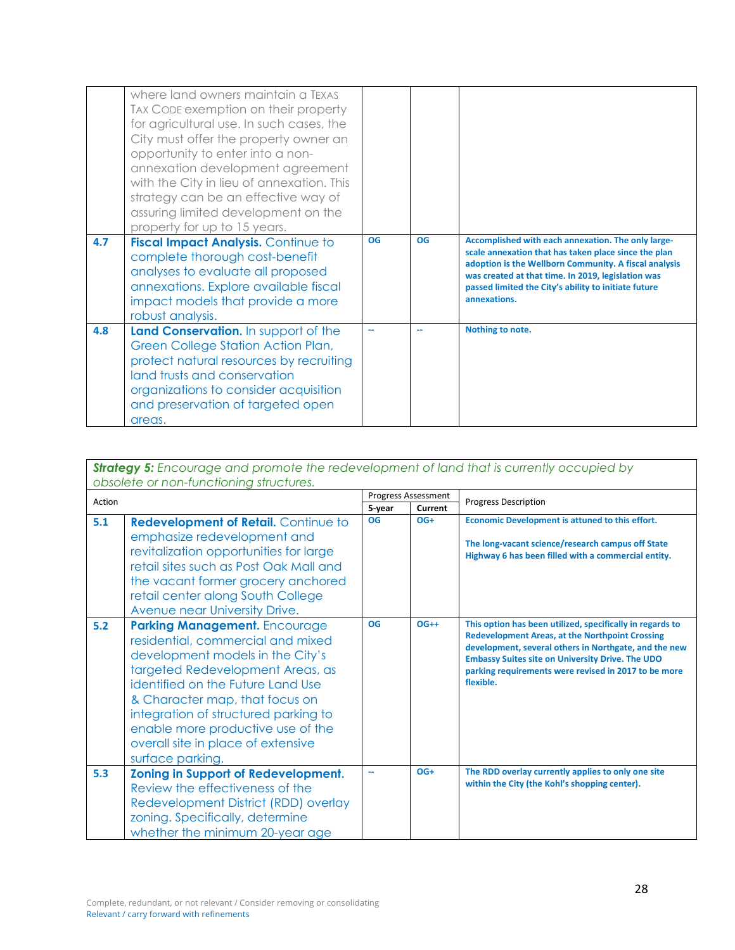|     | where land owners maintain a TEXAS<br>TAX CODE exemption on their property<br>for agricultural use. In such cases, the<br>City must offer the property owner an<br>opportunity to enter into a non-<br>annexation development agreement<br>with the City in lieu of annexation. This<br>strategy can be an effective way of<br>assuring limited development on the<br>property for up to 15 years. | OG | OG | Accomplished with each annexation. The only large-                                                                                                                                                                                          |
|-----|----------------------------------------------------------------------------------------------------------------------------------------------------------------------------------------------------------------------------------------------------------------------------------------------------------------------------------------------------------------------------------------------------|----|----|---------------------------------------------------------------------------------------------------------------------------------------------------------------------------------------------------------------------------------------------|
| 4.7 | <b>Fiscal Impact Analysis. Continue to</b><br>complete thorough cost-benefit<br>analyses to evaluate all proposed<br>annexations. Explore available fiscal<br>impact models that provide a more<br>robust analysis.                                                                                                                                                                                |    |    | scale annexation that has taken place since the plan<br>adoption is the Wellborn Community. A fiscal analysis<br>was created at that time. In 2019, legislation was<br>passed limited the City's ability to initiate future<br>annexations. |
| 4.8 | Land Conservation. In support of the<br>Green College Station Action Plan,<br>protect natural resources by recruiting<br>land trusts and conservation<br>organizations to consider acquisition<br>and preservation of targeted open<br>areas.                                                                                                                                                      |    |    | Nothing to note.                                                                                                                                                                                                                            |

| <b>Strategy 5:</b> Encourage and promote the redevelopment of land that is currently occupied by |                                                                                                                                                                                                                                                                                                                                                                 |                            |        |                                                                                                                                                                                                                                                                                                              |
|--------------------------------------------------------------------------------------------------|-----------------------------------------------------------------------------------------------------------------------------------------------------------------------------------------------------------------------------------------------------------------------------------------------------------------------------------------------------------------|----------------------------|--------|--------------------------------------------------------------------------------------------------------------------------------------------------------------------------------------------------------------------------------------------------------------------------------------------------------------|
| obsolete or non-functioning structures.                                                          |                                                                                                                                                                                                                                                                                                                                                                 | <b>Progress Assessment</b> |        |                                                                                                                                                                                                                                                                                                              |
| Action                                                                                           |                                                                                                                                                                                                                                                                                                                                                                 | 5-year<br>Current          |        | <b>Progress Description</b>                                                                                                                                                                                                                                                                                  |
| 5.1                                                                                              | Redevelopment of Retail. Continue to<br>emphasize redevelopment and<br>revitalization opportunities for large<br>retail sites such as Post Oak Mall and<br>the vacant former grocery anchored<br>retail center along South College<br>Avenue near University Drive.                                                                                             | <b>OG</b>                  | $OG+$  | Economic Development is attuned to this effort.<br>The long-vacant science/research campus off State<br>Highway 6 has been filled with a commercial entity.                                                                                                                                                  |
| 5.2                                                                                              | <b>Parking Management.</b> Encourage<br>residential, commercial and mixed<br>development models in the City's<br>targeted Redevelopment Areas, as<br>identified on the Future Land Use<br>& Character map, that focus on<br>integration of structured parking to<br>enable more productive use of the<br>overall site in place of extensive<br>surface parking. | <b>OG</b>                  | $OG++$ | This option has been utilized, specifically in regards to<br><b>Redevelopment Areas, at the Northpoint Crossing</b><br>development, several others in Northgate, and the new<br><b>Embassy Suites site on University Drive. The UDO</b><br>parking requirements were revised in 2017 to be more<br>flexible. |
| 5.3                                                                                              | <b>Zoning in Support of Redevelopment.</b><br>Review the effectiveness of the<br>Redevelopment District (RDD) overlay<br>zoning. Specifically, determine<br>whether the minimum 20-year age                                                                                                                                                                     |                            | $OG+$  | The RDD overlay currently applies to only one site<br>within the City (the Kohl's shopping center).                                                                                                                                                                                                          |